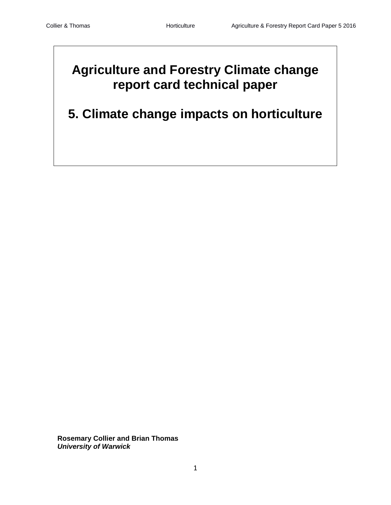# **Agriculture and Forestry Climate change report card technical paper**

**5. Climate change impacts on horticulture**

**Rosemary Collier and Brian Thomas** *University of Warwick*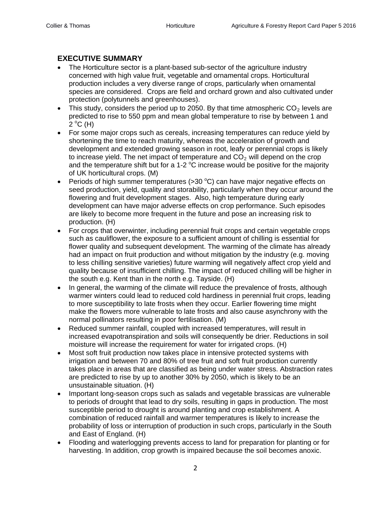# **EXECUTIVE SUMMARY**

- The Horticulture sector is a plant-based sub-sector of the agriculture industry concerned with high value fruit, vegetable and ornamental crops. Horticultural production includes a very diverse range of crops, particularly when ornamental species are considered. Crops are field and orchard grown and also cultivated under protection (polytunnels and greenhouses).
- This study, considers the period up to 2050. By that time atmospheric  $CO<sub>2</sub>$  levels are predicted to rise to 550 ppm and mean global temperature to rise by between 1 and  $2^{\circ}C$  (H)
- For some major crops such as cereals, increasing temperatures can reduce yield by shortening the time to reach maturity, whereas the acceleration of growth and development and extended growing season in root, leafy or perennial crops is likely to increase yield. The net impact of temperature and  $CO<sub>2</sub>$  will depend on the crop and the temperature shift but for a 1-2  $^{\circ}$ C increase would be positive for the majority of UK horticultural crops. (M)
- Periods of high summer temperatures ( $>$ 30 °C) can have major negative effects on seed production, yield, quality and storability, particularly when they occur around the flowering and fruit development stages. Also, high temperature during early development can have major adverse effects on crop performance. Such episodes are likely to become more frequent in the future and pose an increasing risk to production. (H)
- For crops that overwinter, including perennial fruit crops and certain vegetable crops such as cauliflower, the exposure to a sufficient amount of chilling is essential for flower quality and subsequent development. The warming of the climate has already had an impact on fruit production and without mitigation by the industry (e.g. moving to less chilling sensitive varieties) future warming will negatively affect crop yield and quality because of insufficient chilling. The impact of reduced chilling will be higher in the south e.g. Kent than in the north e.g. Tayside. (H)
- In general, the warming of the climate will reduce the prevalence of frosts, although warmer winters could lead to reduced cold hardiness in perennial fruit crops, leading to more susceptibility to late frosts when they occur. Earlier flowering time might make the flowers more vulnerable to late frosts and also cause asynchrony with the normal pollinators resulting in poor fertilisation. (M)
- Reduced summer rainfall, coupled with increased temperatures, will result in increased evapotranspiration and soils will consequently be drier. Reductions in soil moisture will increase the requirement for water for irrigated crops. (H)
- Most soft fruit production now takes place in intensive protected systems with irrigation and between 70 and 80% of tree fruit and soft fruit production currently takes place in areas that are classified as being under water stress. Abstraction rates are predicted to rise by up to another 30% by 2050, which is likely to be an unsustainable situation. (H)
- Important long-season crops such as salads and vegetable brassicas are vulnerable to periods of drought that lead to dry soils, resulting in gaps in production. The most susceptible period to drought is around planting and crop establishment. A combination of reduced rainfall and warmer temperatures is likely to increase the probability of loss or interruption of production in such crops, particularly in the South and East of England. (H)
- Flooding and waterlogging prevents access to land for preparation for planting or for harvesting. In addition, crop growth is impaired because the soil becomes anoxic.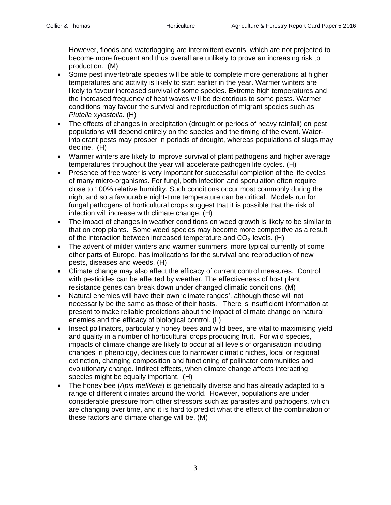However, floods and waterlogging are intermittent events, which are not projected to become more frequent and thus overall are unlikely to prove an increasing risk to production. (M)

- Some pest invertebrate species will be able to complete more generations at higher temperatures and activity is likely to start earlier in the year. Warmer winters are likely to favour increased survival of some species. Extreme high temperatures and the increased frequency of heat waves will be deleterious to some pests. Warmer conditions may favour the survival and reproduction of migrant species such as *Plutella xylostella*. (H)
- The effects of changes in precipitation (drought or periods of heavy rainfall) on pest populations will depend entirely on the species and the timing of the event. Waterintolerant pests may prosper in periods of drought, whereas populations of slugs may decline. (H)
- Warmer winters are likely to improve survival of plant pathogens and higher average temperatures throughout the year will accelerate pathogen life cycles. (H)
- Presence of free water is very important for successful completion of the life cycles of many micro-organisms. For fungi, both infection and sporulation often require close to 100% relative humidity. Such conditions occur most commonly during the night and so a favourable night-time temperature can be critical. Models run for fungal pathogens of horticultural crops suggest that it is possible that the risk of infection will increase with climate change. (H)
- The impact of changes in weather conditions on weed growth is likely to be similar to that on crop plants. Some weed species may become more competitive as a result of the interaction between increased temperature and  $CO<sub>2</sub>$  levels. (H)
- The advent of milder winters and warmer summers, more typical currently of some other parts of Europe, has implications for the survival and reproduction of new pests, diseases and weeds. (H)
- Climate change may also affect the efficacy of current control measures. Control with pesticides can be affected by weather. The effectiveness of host plant resistance genes can break down under changed climatic conditions. (M)
- Natural enemies will have their own 'climate ranges', although these will not necessarily be the same as those of their hosts. There is insufficient information at present to make reliable predictions about the impact of climate change on natural enemies and the efficacy of biological control. (L)
- Insect pollinators, particularly honey bees and wild bees, are vital to maximising yield and quality in a number of horticultural crops producing fruit. For wild species, impacts of climate change are likely to occur at all levels of organisation including changes in phenology, declines due to narrower climatic niches, local or regional extinction, changing composition and functioning of pollinator communities and evolutionary change. Indirect effects, when climate change affects interacting species might be equally important. (H)
- The honey bee (*Apis mellifera*) is genetically diverse and has already adapted to a range of different climates around the world. However, populations are under considerable pressure from other stressors such as parasites and pathogens, which are changing over time, and it is hard to predict what the effect of the combination of these factors and climate change will be. (M)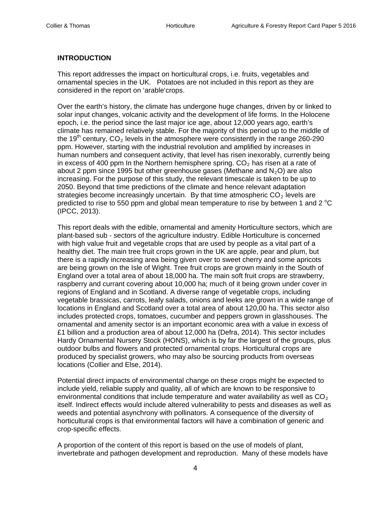## **INTRODUCTION**

This report addresses the impact on horticultural crops, i.e. fruits, vegetables and ornamental species in the UK. Potatoes are not included in this report as they are considered in the report on 'arable'crops.

Over the earth's history, the climate has undergone huge changes, driven by or linked to solar input changes, volcanic activity and the development of life forms. In the Holocene epoch, i.e. the period since the last major ice age, about 12,000 years ago, earth's climate has remained relatively stable. For the majority of this period up to the middle of the 19<sup>th</sup> century, CO<sub>2</sub> levels in the atmosphere were consistently in the range 260-290 ppm. However, starting with the industrial revolution and amplified by increases in human numbers and consequent activity, that level has risen inexorably, currently being in excess of 400 ppm In the Northern hemisphere spring.  $CO<sub>2</sub>$  has risen at a rate of about 2 ppm since 1995 but other greenhouse gases (Methane and  $N_2O$ ) are also increasing. For the purpose of this study, the relevant timescale is taken to be up to 2050. Beyond that time predictions of the climate and hence relevant adaptation strategies become increasingly uncertain. By that time atmospheric  $CO<sub>2</sub>$  levels are predicted to rise to 550 ppm and global mean temperature to rise by between 1 and 2  $^{\circ}$ C (IPCC, 2013).

This report deals with the edible, ornamental and amenity Horticulture sectors, which are plant-based sub - sectors of the agriculture industry. Edible Horticulture is concerned with high value fruit and vegetable crops that are used by people as a vital part of a healthy diet. The main tree fruit crops grown in the UK are apple, pear and plum, but there is a rapidly increasing area being given over to sweet cherry and some apricots are being grown on the Isle of Wight. Tree fruit crops are grown mainly in the South of England over a total area of about 18,000 ha. The main soft fruit crops are strawberry, raspberry and currant covering about 10,000 ha; much of it being grown under cover in regions of England and in Scotland. A diverse range of vegetable crops, including vegetable brassicas, carrots, leafy salads, onions and leeks are grown in a wide range of locations in England and Scotland over a total area of about 120,00 ha. This sector also includes protected crops, tomatoes, cucumber and peppers grown in glasshouses. The ornamental and amenity sector is an important economic area with a value in excess of £1 billion and a production area of about 12,000 ha (Defra, 2014). This sector includes Hardy Ornamental Nursery Stock (HONS), which is by far the largest of the groups, plus outdoor bulbs and flowers and protected ornamental crops. Horticultural crops are produced by specialist growers, who may also be sourcing products from overseas locations (Collier and Else, 2014).

Potential direct impacts of environmental change on these crops might be expected to include yield, reliable supply and quality, all of which are known to be responsive to environmental conditions that include temperature and water availability as well as  $CO<sub>2</sub>$ itself. Indirect effects would include altered vulnerability to pests and diseases as well as weeds and potential asynchrony with pollinators. A consequence of the diversity of horticultural crops is that environmental factors will have a combination of generic and crop-specific effects.

A proportion of the content of this report is based on the use of models of plant, invertebrate and pathogen development and reproduction. Many of these models have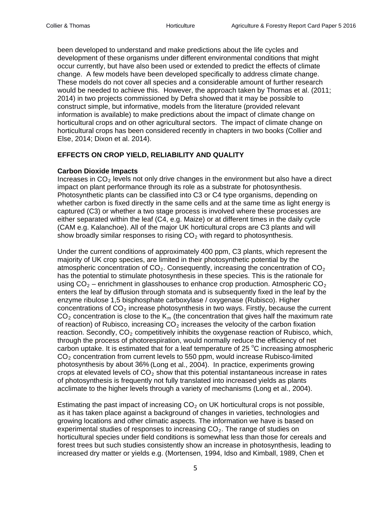been developed to understand and make predictions about the life cycles and development of these organisms under different environmental conditions that might occur currently, but have also been used or extended to predict the effects of climate change. A few models have been developed specifically to address climate change. These models do not cover all species and a considerable amount of further research would be needed to achieve this. However, the approach taken by Thomas et al. (2011; 2014) in two projects commissioned by Defra showed that it may be possible to construct simple, but informative, models from the literature (provided relevant information is available) to make predictions about the impact of climate change on horticultural crops and on other agricultural sectors. The impact of climate change on horticultural crops has been considered recently in chapters in two books (Collier and Else, 2014; Dixon et al. 2014).

# **EFFECTS ON CROP YIELD, RELIABILITY AND QUALITY**

#### **Carbon Dioxide Impacts**

Increases in  $CO<sub>2</sub>$  levels not only drive changes in the environment but also have a direct impact on plant performance through its role as a substrate for photosynthesis. Photosynthetic plants can be classified into C3 or C4 type organisms, depending on whether carbon is fixed directly in the same cells and at the same time as light energy is captured (C3) or whether a two stage process is involved where these processes are either separated within the leaf (C4, e.g. Maize) or at different times in the daily cycle (CAM e.g. Kalanchoe). All of the major UK horticultural crops are C3 plants and will show broadly similar responses to rising  $CO<sub>2</sub>$  with regard to photosynthesis.

Under the current conditions of approximately 400 ppm, C3 plants, which represent the majority of UK crop species, are limited in their photosynthetic potential by the atmospheric concentration of  $CO<sub>2</sub>$ . Consequently, increasing the concentration of  $CO<sub>2</sub>$ has the potential to stimulate photosynthesis in these species. This is the rationale for using  $CO<sub>2</sub>$  – enrichment in glasshouses to enhance crop production. Atmospheric  $CO<sub>2</sub>$ enters the leaf by diffusion through stomata and is subsequently fixed in the leaf by the enzyme ribulose 1,5 bisphosphate carboxylase / oxygenase (Rubisco). Higher concentrations of  $CO<sub>2</sub>$  increase photosynthesis in two ways. Firstly, because the current  $CO<sub>2</sub>$  concentration is close to the K<sub>m</sub> (the concentration that gives half the maximum rate of reaction) of Rubisco, increasing  $CO<sub>2</sub>$  increases the velocity of the carbon fixation reaction. Secondly,  $CO<sub>2</sub>$  competitively inhibits the oxygenase reaction of Rubisco, which, through the process of photorespiration, would normally reduce the efficiency of net carbon uptake. It is estimated that for a leaf temperature of 25  $^{\circ}$ C increasing atmospheric  $CO<sub>2</sub>$  concentration from current levels to 550 ppm, would increase Rubisco-limited photosynthesis by about 36% (Long et al., 2004). In practice, experiments growing crops at elevated levels of  $CO<sub>2</sub>$  show that this potential instantaneous increase in rates of photosynthesis is frequently not fully translated into increased yields as plants acclimate to the higher levels through a variety of mechanisms (Long et al., 2004).

Estimating the past impact of increasing  $CO<sub>2</sub>$  on UK horticultural crops is not possible, as it has taken place against a background of changes in varieties, technologies and growing locations and other climatic aspects. The information we have is based on experimental studies of responses to increasing  $CO<sub>2</sub>$ . The range of studies on horticultural species under field conditions is somewhat less than those for cereals and forest trees but such studies consistently show an increase in photosynthesis, leading to increased dry matter or yields e.g. (Mortensen, 1994, Idso and Kimball, 1989, Chen et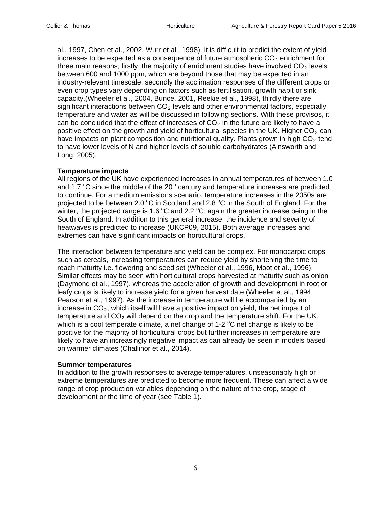al., 1997, Chen et al., 2002, Wurr et al., 1998). It is difficult to predict the extent of yield increases to be expected as a consequence of future atmospheric  $CO<sub>2</sub>$  enrichment for three main reasons; firstly, the majority of enrichment studies have involved  $CO<sub>2</sub>$  levels between 600 and 1000 ppm, which are beyond those that may be expected in an industry-relevant timescale, secondly the acclimation responses of the different crops or even crop types vary depending on factors such as fertilisation, growth habit or sink capacity,(Wheeler et al., 2004, Bunce, 2001, Reekie et al., 1998), thirdly there are significant interactions between  $CO<sub>2</sub>$  levels and other environmental factors, especially temperature and water as will be discussed in following sections. With these provisos, it can be concluded that the effect of increases of  $CO<sub>2</sub>$  in the future are likely to have a positive effect on the growth and yield of horticultural species in the UK. Higher  $CO<sub>2</sub>$  can have impacts on plant composition and nutritional quality. Plants grown in high  $CO<sub>2</sub>$  tend to have lower levels of N and higher levels of soluble carbohydrates (Ainsworth and Long, 2005).

#### **Temperature impacts**

All regions of the UK have experienced increases in annual temperatures of between 1.0 and 1.7  $\mathrm{^{\circ}C}$  since the middle of the 20<sup>th</sup> century and temperature increases are predicted to continue. For a medium emissions scenario, temperature increases in the 2050s are projected to be between 2.0  $^{\circ}$ C in Scotland and 2.8  $^{\circ}$ C in the South of England. For the winter, the projected range is 1.6  $^{\circ}$ C and 2.2  $^{\circ}$ C; again the greater increase being in the South of England. In addition to this general increase, the incidence and severity of heatwaves is predicted to increase (UKCP09, 2015). Both average increases and extremes can have significant impacts on horticultural crops.

The interaction between temperature and yield can be complex. For monocarpic crops such as cereals, increasing temperatures can reduce yield by shortening the time to reach maturity i.e. flowering and seed set (Wheeler et al., 1996, Moot et al., 1996). Similar effects may be seen with horticultural crops harvested at maturity such as onion (Daymond et al., 1997), whereas the acceleration of growth and development in root or leafy crops is likely to increase yield for a given harvest date (Wheeler et al., 1994, Pearson et al., 1997). As the increase in temperature will be accompanied by an increase in  $CO<sub>2</sub>$ , which itself will have a positive impact on yield, the net impact of temperature and  $CO<sub>2</sub>$  will depend on the crop and the temperature shift. For the UK, which is a cool temperate climate, a net change of 1-2  $^{\circ}$ C net change is likely to be positive for the majority of horticultural crops but further increases in temperature are likely to have an increasingly negative impact as can already be seen in models based on warmer climates (Challinor et al., 2014).

#### **Summer temperatures**

In addition to the growth responses to average temperatures, unseasonably high or extreme temperatures are predicted to become more frequent. These can affect a wide range of crop production variables depending on the nature of the crop, stage of development or the time of year (see Table 1).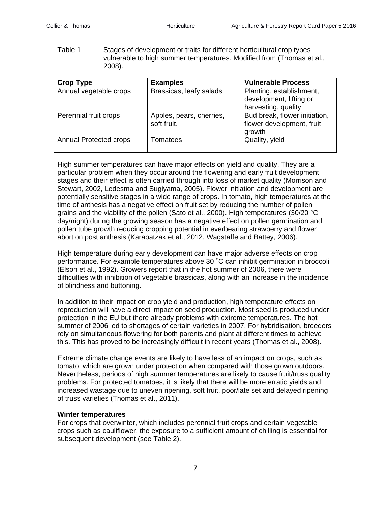Table 1 Stages of development or traits for different horticultural crop types vulnerable to high summer temperatures. Modified from (Thomas et al., 2008).

| <b>Crop Type</b>              | <b>Examples</b>                         | <b>Vulnerable Process</b>                                                  |
|-------------------------------|-----------------------------------------|----------------------------------------------------------------------------|
| Annual vegetable crops        | Brassicas, leafy salads                 | Planting, establishment,<br>development, lifting or<br>harvesting, quality |
| Perennial fruit crops         | Apples, pears, cherries,<br>soft fruit. | Bud break, flower initiation,<br>flower development, fruit<br>growth       |
| <b>Annual Protected crops</b> | Tomatoes                                | Quality, yield                                                             |

High summer temperatures can have major effects on yield and quality. They are a particular problem when they occur around the flowering and early fruit development stages and their effect is often carried through into loss of market quality (Morrison and Stewart, 2002, Ledesma and Sugiyama, 2005). Flower initiation and development are potentially sensitive stages in a wide range of crops. In tomato, high temperatures at the time of anthesis has a negative effect on fruit set by reducing the number of pollen grains and the viability of the pollen (Sato et al., 2000). High temperatures (30/20 °C day/night) during the growing season has a negative effect on pollen germination and pollen tube growth reducing cropping potential in everbearing strawberry and flower abortion post anthesis (Karapatzak et al., 2012, Wagstaffe and Battey, 2006).

High temperature during early development can have major adverse effects on crop performance. For example temperatures above 30 °C can inhibit germination in broccoli (Elson et al., 1992). Growers report that in the hot summer of 2006, there were difficulties with inhibition of vegetable brassicas, along with an increase in the incidence of blindness and buttoning.

In addition to their impact on crop yield and production, high temperature effects on reproduction will have a direct impact on seed production. Most seed is produced under protection in the EU but there already problems with extreme temperatures. The hot summer of 2006 led to shortages of certain varieties in 2007. For hybridisation, breeders rely on simultaneous flowering for both parents and plant at different times to achieve this. This has proved to be increasingly difficult in recent years (Thomas et al., 2008).

Extreme climate change events are likely to have less of an impact on crops, such as tomato, which are grown under protection when compared with those grown outdoors. Nevertheless, periods of high summer temperatures are likely to cause fruit/truss quality problems. For protected tomatoes, it is likely that there will be more erratic yields and increased wastage due to uneven ripening, soft fruit, poor/late set and delayed ripening of truss varieties (Thomas et al., 2011).

# **Winter temperatures**

For crops that overwinter, which includes perennial fruit crops and certain vegetable crops such as cauliflower, the exposure to a sufficient amount of chilling is essential for subsequent development (see Table 2).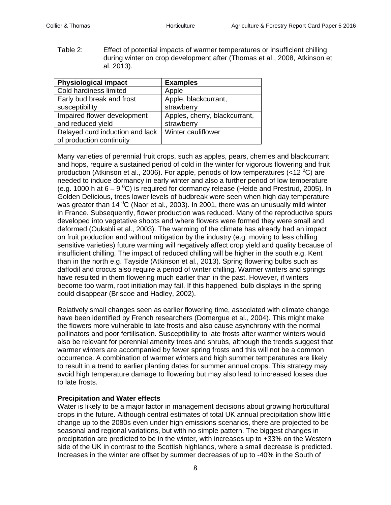Table 2: Effect of potential impacts of warmer temperatures or insufficient chilling during winter on crop development after (Thomas et al., 2008, Atkinson et al. 2013).

| <b>Physiological impact</b>     | <b>Examples</b>               |
|---------------------------------|-------------------------------|
| Cold hardiness limited          | Apple                         |
| Early bud break and frost       | Apple, blackcurrant,          |
| susceptibility                  | strawberry                    |
| Impaired flower development     | Apples, cherry, blackcurrant, |
| and reduced yield               | strawberry                    |
| Delayed curd induction and lack | Winter cauliflower            |
| of production continuity        |                               |

Many varieties of perennial fruit crops, such as apples, pears, cherries and blackcurrant and hops, require a sustained period of cold in the winter for vigorous flowering and fruit production (Atkinson et al., 2006). For apple, periods of low temperatures (<12  $^{\circ}$ C) are needed to induce dormancy in early winter and also a further period of low temperature (e.g. 1000 h at 6 – 9  $\mathrm{^0C}$ ) is required for dormancy release (Heide and Prestrud, 2005). In Golden Delicious, trees lower levels of budbreak were seen when high day temperature was greater than 14  $\rm ^{0}C$  (Naor et al., 2003). In 2001, there was an unusually mild winter in France. Subsequently, flower production was reduced. Many of the reproductive spurs developed into vegetative shoots and where flowers were formed they were small and deformed (Oukabli et al., 2003). The warming of the climate has already had an impact on fruit production and without mitigation by the industry (e.g. moving to less chilling sensitive varieties) future warming will negatively affect crop yield and quality because of insufficient chilling. The impact of reduced chilling will be higher in the south e.g. Kent than in the north e.g. Tayside (Atkinson et al., 2013). Spring flowering bulbs such as daffodil and crocus also require a period of winter chilling. Warmer winters and springs have resulted in them flowering much earlier than in the past. However, if winters become too warm, root initiation may fail. If this happened, bulb displays in the spring could disappear (Briscoe and Hadley, 2002).

Relatively small changes seen as earlier flowering time, associated with climate change have been identified by French researchers (Domergue et al., 2004). This might make the flowers more vulnerable to late frosts and also cause asynchrony with the normal pollinators and poor fertilisation. Susceptibility to late frosts after warmer winters would also be relevant for perennial amenity trees and shrubs, although the trends suggest that warmer winters are accompanied by fewer spring frosts and this will not be a common occurrence. A combination of warmer winters and high summer temperatures are likely to result in a trend to earlier planting dates for summer annual crops. This strategy may avoid high temperature damage to flowering but may also lead to increased losses due to late frosts.

# **Precipitation and Water effects**

Water is likely to be a major factor in management decisions about growing horticultural crops in the future. Although central estimates of total UK annual precipitation show little change up to the 2080s even under high emissions scenarios, there are projected to be seasonal and regional variations, but with no simple pattern. The biggest changes in precipitation are predicted to be in the winter, with increases up to +33% on the Western side of the UK in contrast to the Scottish highlands, where a small decrease is predicted. Increases in the winter are offset by summer decreases of up to -40% in the South of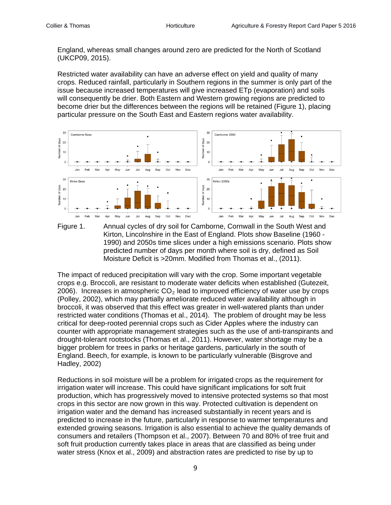England, whereas small changes around zero are predicted for the North of Scotland (UKCP09, 2015).

Restricted water availability can have an adverse effect on yield and quality of many crops. Reduced rainfall, particularly in Southern regions in the summer is only part of the issue because increased temperatures will give increased ETp (evaporation) and soils will consequently be drier. Both Eastern and Western growing regions are predicted to become drier but the differences between the regions will be retained (Figure 1), placing particular pressure on the South East and Eastern regions water availability.





The impact of reduced precipitation will vary with the crop. Some important vegetable crops e.g. Broccoli, are resistant to moderate water deficits when established (Gutezeit, 2006). Increases in atmospheric  $CO<sub>2</sub>$  lead to improved efficiency of water use by crops (Polley, 2002), which may partially ameliorate reduced water availability although in broccoli, it was observed that this effect was greater in well-watered plants than under restricted water conditions (Thomas et al., 2014). The problem of drought may be less critical for deep-rooted perennial crops such as Cider Apples where the industry can counter with appropriate management strategies such as the use of anti-transpirants and drought-tolerant rootstocks (Thomas et al., 2011). However, water shortage may be a bigger problem for trees in parks or heritage gardens, particularly in the south of England. Beech, for example, is known to be particularly vulnerable (Bisgrove and Hadley, 2002)

Reductions in soil moisture will be a problem for irrigated crops as the requirement for irrigation water will increase. This could have significant implications for soft fruit production, which has progressively moved to intensive protected systems so that most crops in this sector are now grown in this way. Protected cultivation is dependent on irrigation water and the demand has increased substantially in recent years and is predicted to increase in the future, particularly in response to warmer temperatures and extended growing seasons. Irrigation is also essential to achieve the quality demands of consumers and retailers (Thompson et al., 2007). Between 70 and 80% of tree fruit and soft fruit production currently takes place in areas that are classified as being under water stress (Knox et al., 2009) and abstraction rates are predicted to rise by up to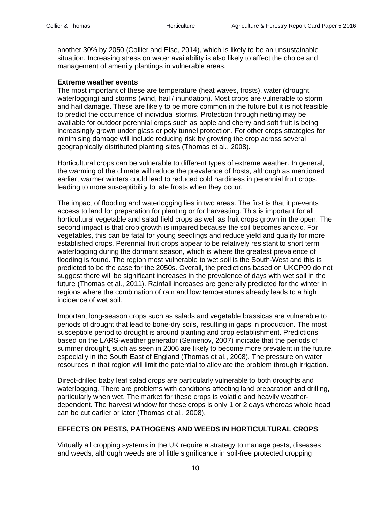another 30% by 2050 (Collier and Else, 2014), which is likely to be an unsustainable situation. Increasing stress on water availability is also likely to affect the choice and management of amenity plantings in vulnerable areas.

### **Extreme weather events**

The most important of these are temperature (heat waves, frosts), water (drought, waterlogging) and storms (wind, hail / inundation). Most crops are vulnerable to storm and hail damage. These are likely to be more common in the future but it is not feasible to predict the occurrence of individual storms. Protection through netting may be available for outdoor perennial crops such as apple and cherry and soft fruit is being increasingly grown under glass or poly tunnel protection. For other crops strategies for minimising damage will include reducing risk by growing the crop across several geographically distributed planting sites (Thomas et al., 2008).

Horticultural crops can be vulnerable to different types of extreme weather. In general, the warming of the climate will reduce the prevalence of frosts, although as mentioned earlier, warmer winters could lead to reduced cold hardiness in perennial fruit crops, leading to more susceptibility to late frosts when they occur.

The impact of flooding and waterlogging lies in two areas. The first is that it prevents access to land for preparation for planting or for harvesting. This is important for all horticultural vegetable and salad field crops as well as fruit crops grown in the open. The second impact is that crop growth is impaired because the soil becomes anoxic. For vegetables, this can be fatal for young seedlings and reduce yield and quality for more established crops. Perennial fruit crops appear to be relatively resistant to short term waterlogging during the dormant season, which is where the greatest prevalence of flooding is found. The region most vulnerable to wet soil is the South-West and this is predicted to be the case for the 2050s. Overall, the predictions based on UKCP09 do not suggest there will be significant increases in the prevalence of days with wet soil in the future (Thomas et al., 2011). Rainfall increases are generally predicted for the winter in regions where the combination of rain and low temperatures already leads to a high incidence of wet soil.

Important long-season crops such as salads and vegetable brassicas are vulnerable to periods of drought that lead to bone-dry soils, resulting in gaps in production. The most susceptible period to drought is around planting and crop establishment. Predictions based on the LARS-weather generator (Semenov, 2007) indicate that the periods of summer drought, such as seen in 2006 are likely to become more prevalent in the future, especially in the South East of England (Thomas et al., 2008). The pressure on water resources in that region will limit the potential to alleviate the problem through irrigation.

Direct-drilled baby leaf salad crops are particularly vulnerable to both droughts and waterlogging. There are problems with conditions affecting land preparation and drilling, particularly when wet. The market for these crops is volatile and heavily weatherdependent. The harvest window for these crops is only 1 or 2 days whereas whole head can be cut earlier or later (Thomas et al., 2008).

# **EFFECTS ON PESTS, PATHOGENS AND WEEDS IN HORTICULTURAL CROPS**

Virtually all cropping systems in the UK require a strategy to manage pests, diseases and weeds, although weeds are of little significance in soil-free protected cropping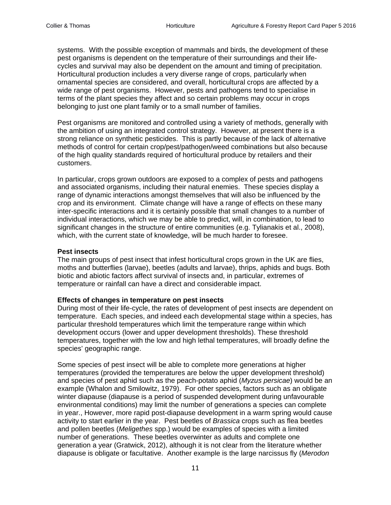systems. With the possible exception of mammals and birds, the development of these pest organisms is dependent on the temperature of their surroundings and their lifecycles and survival may also be dependent on the amount and timing of precipitation. Horticultural production includes a very diverse range of crops, particularly when ornamental species are considered, and overall, horticultural crops are affected by a wide range of pest organisms. However, pests and pathogens tend to specialise in terms of the plant species they affect and so certain problems may occur in crops belonging to just one plant family or to a small number of families.

Pest organisms are monitored and controlled using a variety of methods, generally with the ambition of using an integrated control strategy. However, at present there is a strong reliance on synthetic pesticides. This is partly because of the lack of alternative methods of control for certain crop/pest/pathogen/weed combinations but also because of the high quality standards required of horticultural produce by retailers and their customers.

In particular, crops grown outdoors are exposed to a complex of pests and pathogens and associated organisms, including their natural enemies. These species display a range of dynamic interactions amongst themselves that will also be influenced by the crop and its environment. Climate change will have a range of effects on these many inter-specific interactions and it is certainly possible that small changes to a number of individual interactions, which we may be able to predict, will, in combination, to lead to significant changes in the structure of entire communities (e.g. Tylianakis et al., 2008), which, with the current state of knowledge, will be much harder to foresee.

### **Pest insects**

The main groups of pest insect that infest horticultural crops grown in the UK are flies, moths and butterflies (larvae), beetles (adults and larvae), thrips, aphids and bugs. Both biotic and abiotic factors affect survival of insects and, in particular, extremes of temperature or rainfall can have a direct and considerable impact.

#### **Effects of changes in temperature on pest insects**

During most of their life-cycle, the rates of development of pest insects are dependent on temperature. Each species, and indeed each developmental stage within a species, has particular threshold temperatures which limit the temperature range within which development occurs (lower and upper development thresholds). These threshold temperatures, together with the low and high lethal temperatures, will broadly define the species' geographic range.

Some species of pest insect will be able to complete more generations at higher temperatures (provided the temperatures are below the upper development threshold) and species of pest aphid such as the peach-potato aphid (*Myzus persicae*) would be an example (Whalon and Smilowitz, 1979). For other species, factors such as an obligate winter diapause (diapause is a period of suspended development during unfavourable environmental conditions) may limit the number of generations a species can complete in year., However, more rapid post-diapause development in a warm spring would cause activity to start earlier in the year. Pest beetles of *Brassica* crops such as flea beetles and pollen beetles (*Meligethes* spp.) would be examples of species with a limited number of generations. These beetles overwinter as adults and complete one generation a year (Gratwick, 2012), although it is not clear from the literature whether diapause is obligate or facultative. Another example is the large narcissus fly (*Merodon*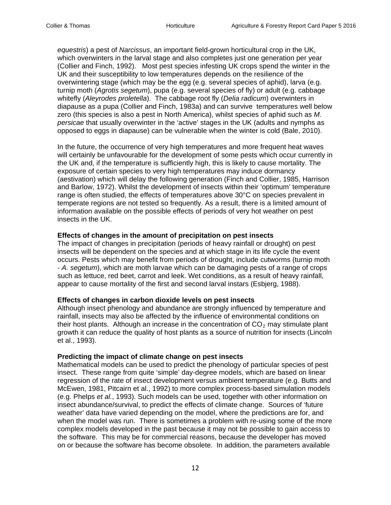*equestris*) a pest of *Narcissus*, an important field-grown horticultural crop in the UK, which overwinters in the larval stage and also completes just one generation per year (Collier and Finch, 1992). Most pest species infesting UK crops spend the winter in the UK and their susceptibility to low temperatures depends on the resilience of the overwintering stage (which may be the egg (e.g. several species of aphid), larva (e.g. turnip moth (*Agrotis segetum*), pupa (e.g. several species of fly) or adult (e.g. cabbage whitefly (*Aleyrodes proletella*). The cabbage root fly (*Delia radicum*) overwinters in diapause as a pupa (Collier and Finch, 1983a) and can survive temperatures well below zero (this species is also a pest in North America), whilst species of aphid such as *M. persicae* that usually overwinter in the 'active' stages in the UK (adults and nymphs as opposed to eggs in diapause) can be vulnerable when the winter is cold (Bale, 2010).

In the future, the occurrence of very high temperatures and more frequent heat waves will certainly be unfavourable for the development of some pests which occur currently in the UK and, if the temperature is sufficiently high, this is likely to cause mortality. The exposure of certain species to very high temperatures may induce dormancy (aestivation) which will delay the following generation (Finch and Collier, 1985, Harrison and Barlow, 1972). Whilst the development of insects within their 'optimum' temperature range is often studied, the effects of temperatures above 30°C on species prevalent in temperate regions are not tested so frequently. As a result, there is a limited amount of information available on the possible effects of periods of very hot weather on pest insects in the UK.

## **Effects of changes in the amount of precipitation on pest insects**

The impact of changes in precipitation (periods of heavy rainfall or drought) on pest insects will be dependent on the species and at which stage in its life cycle the event occurs. Pests which may benefit from periods of drought, include cutworms (turnip moth - *A. segetum*), which are moth larvae which can be damaging pests of a range of crops such as lettuce, red beet, carrot and leek. Wet conditions, as a result of heavy rainfall, appear to cause mortality of the first and second larval instars (Esbjerg, 1988).

#### **Effects of changes in carbon dioxide levels on pest insects**

Although insect phenology and abundance are strongly influenced by temperature and rainfall, insects may also be affected by the influence of environmental conditions on their host plants. Although an increase in the concentration of  $CO<sub>2</sub>$  may stimulate plant growth it can reduce the quality of host plants as a source of nutrition for insects (Lincoln et al., 1993).

# **Predicting the impact of climate change on pest insects**

Mathematical models can be used to predict the phenology of particular species of pest insect. These range from quite 'simple' day-degree models, which are based on linear regression of the rate of insect development versus ambient temperature (e.g. Butts and McEwen, 1981, Pitcairn et al., 1992) to more complex process-based simulation models (e.g. Phelps *et al.*, 1993). Such models can be used, together with other information on insect abundance/survival, to predict the effects of climate change. Sources of 'future weather' data have varied depending on the model, where the predictions are for, and when the model was run. There is sometimes a problem with re-using some of the more complex models developed in the past because it may not be possible to gain access to the software. This may be for commercial reasons, because the developer has moved on or because the software has become obsolete. In addition, the parameters available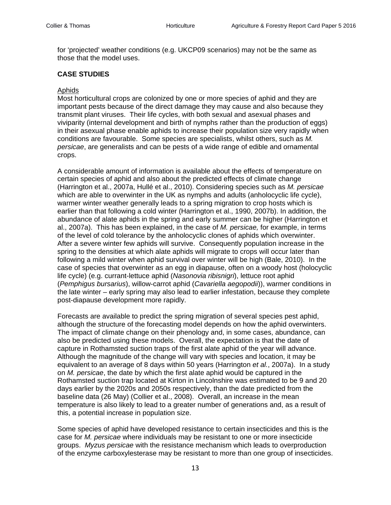for 'projected' weather conditions (e.g. UKCP09 scenarios) may not be the same as those that the model uses.

# **CASE STUDIES**

#### Aphids

Most horticultural crops are colonized by one or more species of aphid and they are important pests because of the direct damage they may cause and also because they transmit plant viruses. Their life cycles, with both sexual and asexual phases and viviparity (internal development and birth of nymphs rather than the production of eggs) in their asexual phase enable aphids to increase their population size very rapidly when conditions are favourable. Some species are specialists, whilst others, such as *M. persicae*, are generalists and can be pests of a wide range of edible and ornamental crops.

A considerable amount of information is available about the effects of temperature on certain species of aphid and also about the predicted effects of climate change (Harrington et al., 2007a, Hullé et al., 2010). Considering species such as *M. persicae* which are able to overwinter in the UK as nymphs and adults (anholocyclic life cycle), warmer winter weather generally leads to a spring migration to crop hosts which is earlier than that following a cold winter (Harrington et al., 1990, 2007b). In addition, the abundance of alate aphids in the spring and early summer can be higher (Harrington et al., 2007a). This has been explained, in the case of *M. persicae,* for example, in terms of the level of cold tolerance by the anholocyclic clones of aphids which overwinter. After a severe winter few aphids will survive. Consequently population increase in the spring to the densities at which alate aphids will migrate to crops will occur later than following a mild winter when aphid survival over winter will be high (Bale, 2010). In the case of species that overwinter as an egg in diapause, often on a woody host (holocyclic life cycle) (e.g. currant-lettuce aphid (*Nasonovia ribisnigri*), lettuce root aphid (*Pemphigus bursarius*), willow-carrot aphid (*Cavariella aegopodii*)), warmer conditions in the late winter – early spring may also lead to earlier infestation, because they complete post-diapause development more rapidly.

Forecasts are available to predict the spring migration of several species pest aphid, although the structure of the forecasting model depends on how the aphid overwinters. The impact of climate change on their phenology and, in some cases, abundance, can also be predicted using these models. Overall, the expectation is that the date of capture in Rothamsted suction traps of the first alate aphid of the year will advance. Although the magnitude of the change will vary with species and location, it may be equivalent to an average of 8 days within 50 years (Harrington *et al.*, 2007a). In a study on *M. persicae*, the date by which the first alate aphid would be captured in the Rothamsted suction trap located at Kirton in Lincolnshire was estimated to be 9 and 20 days earlier by the 2020s and 2050s respectively, than the date predicted from the baseline data (26 May) (Collier et al., 2008). Overall, an increase in the mean temperature is also likely to lead to a greater number of generations and, as a result of this, a potential increase in population size.

Some species of aphid have developed resistance to certain insecticides and this is the case for *M. persicae* where individuals may be resistant to one or more insecticide groups. *Myzus persicae* with the resistance mechanism which leads to overproduction of the enzyme carboxylesterase may be resistant to more than one group of insecticides.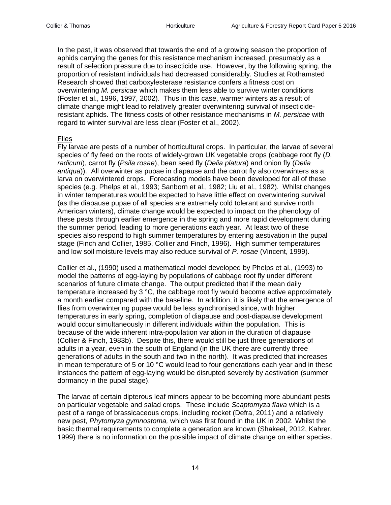In the past, it was observed that towards the end of a growing season the proportion of aphids carrying the genes for this resistance mechanism increased, presumably as a result of selection pressure due to insecticide use. However, by the following spring, the proportion of resistant individuals had decreased considerably. Studies at Rothamsted Research showed that carboxylesterase resistance confers a fitness cost on overwintering *M. persicae* which makes them less able to survive winter conditions (Foster et al., 1996, 1997, 2002). Thus in this case, warmer winters as a result of climate change might lead to relatively greater overwintering survival of insecticideresistant aphids. The fitness costs of other resistance mechanisms in *M. persicae* with regard to winter survival are less clear (Foster et al., 2002).

#### Flies

Fly larvae are pests of a number of horticultural crops. In particular, the larvae of several species of fly feed on the roots of widely-grown UK vegetable crops (cabbage root fly (*D. radicum*), carrot fly (*Psila rosae*), bean seed fly (*Delia platura*) and onion fly (*Delia antiqua*)). All overwinter as pupae in diapause and the carrot fly also overwinters as a larva on overwintered crops. Forecasting models have been developed for all of these species (e.g. Phelps et al., 1993; Sanborn et al., 1982; Liu et al., 1982). Whilst changes in winter temperatures would be expected to have little effect on overwintering survival (as the diapause pupae of all species are extremely cold tolerant and survive north American winters), climate change would be expected to impact on the phenology of these pests through earlier emergence in the spring and more rapid development during the summer period, leading to more generations each year. At least two of these species also respond to high summer temperatures by entering aestivation in the pupal stage (Finch and Collier, 1985, Collier and Finch, 1996). High summer temperatures and low soil moisture levels may also reduce survival of *P. rosae* (Vincent, 1999).

Collier et al., (1990) used a mathematical model developed by Phelps et al., (1993) to model the patterns of egg-laying by populations of cabbage root fly under different scenarios of future climate change. The output predicted that if the mean daily temperature increased by  $3 \degree C$ , the cabbage root fly would become active approximately a month earlier compared with the baseline. In addition, it is likely that the emergence of flies from overwintering pupae would be less synchronised since, with higher temperatures in early spring, completion of diapause and post-diapause development would occur simultaneously in different individuals within the population. This is because of the wide inherent intra-population variation in the duration of diapause (Collier & Finch, 1983b). Despite this, there would still be just three generations of adults in a year, even in the south of England (in the UK there are currently three generations of adults in the south and two in the north). It was predicted that increases in mean temperature of 5 or 10  $^{\circ}$ C would lead to four generations each year and in these instances the pattern of egg-laying would be disrupted severely by aestivation (summer dormancy in the pupal stage).

The larvae of certain dipterous leaf miners appear to be becoming more abundant pests on particular vegetable and salad crops. These include *Scaptomyza flava* which is a pest of a range of brassicaceous crops, including rocket (Defra, 2011) and a relatively new pest, *Phytomyza gymnostoma,* which was first found in the UK in 2002*.* Whilst the basic thermal requirements to complete a generation are known (Shakeel, 2012, Kahrer, 1999) there is no information on the possible impact of climate change on either species.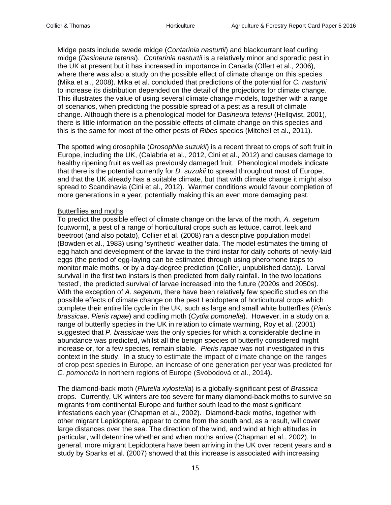Midge pests include swede midge (*Contarinia nasturtii*) and blackcurrant leaf curling midge (*Dasineura tetensi*). *Contarinia nasturtii* is a relatively minor and sporadic pest in the UK at present but it has increased in importance in Canada (Olfert et al., 2006), where there was also a study on the possible effect of climate change on this species (Mika et al., 2008). Mika et al. concluded that predictions of the potential for *C. nasturtii* to increase its distribution depended on the detail of the projections for climate change. This illustrates the value of using several climate change models, together with a range of scenarios, when predicting the possible spread of a pest as a result of climate change. Although there is a phenological model for *Dasineura tetensi* (Hellqvist, 2001), there is little information on the possible effects of climate change on this species and this is the same for most of the other pests of *Ribes* species (Mitchell et al., 2011).

The spotted wing drosophila (*Drosophila suzukii*) is a recent threat to crops of soft fruit in Europe, including the UK, (Calabria et al., 2012, Cini et al., 2012) and causes damage to healthy ripening fruit as well as previously damaged fruit. Phenological models indicate that there is the potential currently for *D. suzukii* to spread throughout most of Europe, and that the UK already has a suitable climate, but that with climate change it might also spread to Scandinavia (Cini et al., 2012). Warmer conditions would favour completion of more generations in a year, potentially making this an even more damaging pest.

## Butterflies and moths

To predict the possible effect of climate change on the larva of the moth, *A. segetum* (cutworm), a pest of a range of horticultural crops such as lettuce, carrot, leek and beetroot (and also potato), Collier et al. (2008) ran a descriptive population model (Bowden et al., 1983) using 'synthetic' weather data. The model estimates the timing of egg hatch and development of the larvae to the third instar for daily cohorts of newly-laid eggs (the period of egg-laying can be estimated through using pheromone traps to monitor male moths, or by a day-degree prediction (Collier, unpublished data)). Larval survival in the first two instars is then predicted from daily rainfall. In the two locations 'tested', the predicted survival of larvae increased into the future (2020s and 2050s). With the exception of *A. segetum*, there have been relatively few specific studies on the possible effects of climate change on the pest Lepidoptera of horticultural crops which complete their entire life cycle in the UK, such as large and small white butterflies (*Pieris brassicae, Pieris rapae*) and codling moth (*Cydia pomonella*). However, in a study on a range of butterfly species in the UK in relation to climate warming, Roy et al. (2001) suggested that *P. brassicae* was the only species for which a considerable decline in abundance was predicted, whilst all the benign species of butterfly considered might increase or, for a few species, remain stable. *Pieris rapae* was not investigated in this context in the study. In a study to estimate the impact of climate change on the ranges of crop pest species in Europe, an increase of one generation per year was predicted for *C. pomonella* in northern regions of Europe (Svobodová et al., 2014**).**

The diamond-back moth (*Plutella xylostella*) is a globally-significant pest of *Brassica* crops. Currently, UK winters are too severe for many diamond-back moths to survive so migrants from continental Europe and further south lead to the most significant infestations each year (Chapman et al., 2002). Diamond-back moths, together with other migrant Lepidoptera, appear to come from the south and, as a result, will cover large distances over the sea. The direction of the wind, and wind at high altitudes in particular, will determine whether and when moths arrive (Chapman et al., 2002). In general, more migrant Lepidoptera have been arriving in the UK over recent years and a study by Sparks et al. (2007) showed that this increase is associated with increasing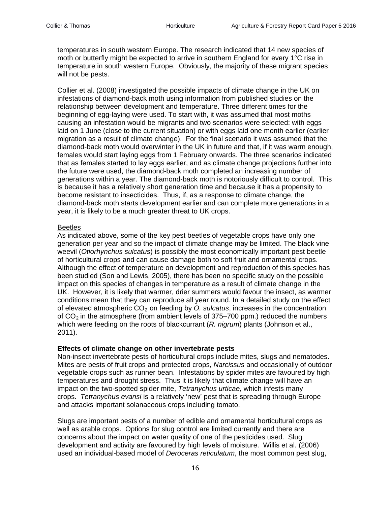temperatures in south western Europe. The research indicated that 14 new species of moth or butterfly might be expected to arrive in southern England for every 1°C rise in temperature in south western Europe. Obviously, the majority of these migrant species will not be pests.

Collier et al. (2008) investigated the possible impacts of climate change in the UK on infestations of diamond-back moth using information from published studies on the relationship between development and temperature. Three different times for the beginning of egg-laying were used. To start with, it was assumed that most moths causing an infestation would be migrants and two scenarios were selected: with eggs laid on 1 June (close to the current situation) or with eggs laid one month earlier (earlier migration as a result of climate change). For the final scenario it was assumed that the diamond-back moth would overwinter in the UK in future and that, if it was warm enough, females would start laying eggs from 1 February onwards. The three scenarios indicated that as females started to lay eggs earlier, and as climate change projections further into the future were used, the diamond-back moth completed an increasing number of generations within a year. The diamond-back moth is notoriously difficult to control. This is because it has a relatively short generation time and because it has a propensity to become resistant to insecticides. Thus, if, as a response to climate change, the diamond-back moth starts development earlier and can complete more generations in a year, it is likely to be a much greater threat to UK crops.

## Beetles

As indicated above, some of the key pest beetles of vegetable crops have only one generation per year and so the impact of climate change may be limited. The black vine weevil (*Otiorhynchus sulcatus*) is possibly the most economically important pest beetle of horticultural crops and can cause damage both to soft fruit and ornamental crops. Although the effect of temperature on development and reproduction of this species has been studied (Son and Lewis, 2005), there has been no specific study on the possible impact on this species of changes in temperature as a result of climate change in the UK. However, it is likely that warmer, drier summers would favour the insect, as warmer conditions mean that they can reproduce all year round. In a detailed study on the effect of elevated atmospheric CO<sub>2</sub> on feeding by *O. sulcatus*, increases in the concentration of  $CO<sub>2</sub>$  in the atmosphere (from ambient levels of 375–700 ppm.) reduced the numbers which were feeding on the roots of blackcurrant (*R. nigrum*) plants (Johnson et al., 2011).

# **Effects of climate change on other invertebrate pests**

Non-insect invertebrate pests of horticultural crops include mites, slugs and nematodes. Mites are pests of fruit crops and protected crops, *Narcissus* and occasionally of outdoor vegetable crops such as runner bean. Infestations by spider mites are favoured by high temperatures and drought stress. Thus it is likely that climate change will have an impact on the two-spotted spider mite, *Tetranychus urticae,* which infests many crops. *Tetranychus evansi* is a relatively 'new' pest that is spreading through Europe and attacks important solanaceous crops including tomato.

Slugs are important pests of a number of edible and ornamental horticultural crops as well as arable crops. Options for slug control are limited currently and there are concerns about the impact on water quality of one of the pesticides used. Slug development and activity are favoured by high levels of moisture. Willis et al. (2006) used an individual-based model of *Deroceras reticulatum*, the most common pest slug,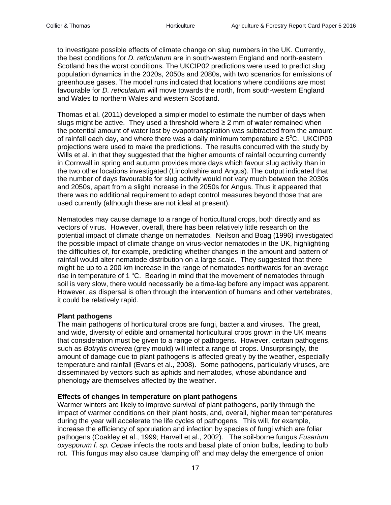to investigate possible effects of climate change on slug numbers in the UK. Currently, the best conditions for *D. reticulatum* are in south-western England and north-eastern Scotland has the worst conditions. The UKCIP02 predictions were used to predict slug population dynamics in the 2020s, 2050s and 2080s, with two scenarios for emissions of greenhouse gases. The model runs indicated that locations where conditions are most favourable for *D. reticulatum* will move towards the north, from south-western England and Wales to northern Wales and western Scotland.

Thomas et al. (2011) developed a simpler model to estimate the number of days when slugs might be active. They used a threshold where  $\geq 2$  mm of water remained when the potential amount of water lost by evapotranspiration was subtracted from the amount of rainfall each day, and where there was a daily minimum temperature  $\geq 5^{\circ}$ C. UKCIP09 projections were used to make the predictions. The results concurred with the study by Wills et al. in that they suggested that the higher amounts of rainfall occurring currently in Cornwall in spring and autumn provides more days which favour slug activity than in the two other locations investigated (Lincolnshire and Angus). The output indicated that the number of days favourable for slug activity would not vary much between the 2030s and 2050s, apart from a slight increase in the 2050s for Angus. Thus it appeared that there was no additional requirement to adapt control measures beyond those that are used currently (although these are not ideal at present).

Nematodes may cause damage to a range of horticultural crops, both directly and as vectors of virus. However, overall, there has been relatively little research on the potential impact of climate change on nematodes. Neilson and Boag (1996) investigated the possible impact of climate change on virus-vector nematodes in the UK, highlighting the difficulties of, for example, predicting whether changes in the amount and pattern of rainfall would alter nematode distribution on a large scale. They suggested that there might be up to a 200 km increase in the range of nematodes northwards for an average rise in temperature of 1  $^{\circ}$ C. Bearing in mind that the movement of nematodes through soil is very slow, there would necessarily be a time-lag before any impact was apparent. However, as dispersal is often through the intervention of humans and other vertebrates, it could be relatively rapid.

# **Plant pathogens**

The main pathogens of horticultural crops are fungi, bacteria and viruses. The great, and wide, diversity of edible and ornamental horticultural crops grown in the UK means that consideration must be given to a range of pathogens. However, certain pathogens, such as *Botrytis cinerea* (grey mould) will infect a range of crops. Unsurprisingly, the amount of damage due to plant pathogens is affected greatly by the weather, especially temperature and rainfall (Evans et al., 2008). Some pathogens, particularly viruses, are disseminated by vectors such as aphids and nematodes, whose abundance and phenology are themselves affected by the weather.

#### **Effects of changes in temperature on plant pathogens**

Warmer winters are likely to improve survival of plant pathogens, partly through the impact of warmer conditions on their plant hosts, and, overall, higher mean temperatures during the year will accelerate the life cycles of pathogens. This will, for example, increase the efficiency of sporulation and infection by species of fungi which are foliar pathogens (Coakley et al., 1999; Harvell et al., 2002). The soil-borne fungus *Fusarium oxysporum f. sp. Cepae* infects the roots and basal plate of onion bulbs, leading to bulb rot. This fungus may also cause 'damping off' and may delay the emergence of onion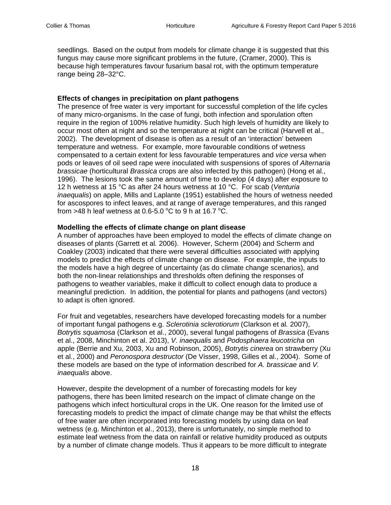seedlings. Based on the output from models for climate change it is suggested that this fungus may cause more significant problems in the future, (Cramer, 2000). This is because high temperatures favour fusarium basal rot, with the optimum temperature range being 28–32°C.

## **Effects of changes in precipitation on plant pathogens**

The presence of free water is very important for successful completion of the life cycles of many micro-organisms. In the case of fungi, both infection and sporulation often require in the region of 100% relative humidity. Such high levels of humidity are likely to occur most often at night and so the temperature at night can be critical (Harvell et al., 2002). The development of disease is often as a result of an 'interaction' between temperature and wetness. For example, more favourable conditions of wetness compensated to a certain extent for less favourable temperatures and *vice versa* when pods or leaves of oil seed rape were inoculated with suspensions of spores of *Alternaria brassicae* (horticultural *Brassica* crops are also infected by this pathogen) (Hong et al., 1996). The lesions took the same amount of time to develop (4 days) after exposure to 12 h wetness at 15 °C as after 24 hours wetness at 10 °C. For scab (*Venturia inaequalis*) on apple, Mills and Laplante (1951) established the hours of wetness needed for ascospores to infect leaves, and at range of average temperatures, and this ranged from >48 h leaf wetness at 0.6-5.0  $^{\circ}$ C to 9 h at 16.7  $^{\circ}$ C.

## **Modelling the effects of climate change on plant disease**

A number of approaches have been employed to model the effects of climate change on diseases of plants (Garrett et al*.* 2006). However, Scherm (2004) and Scherm and Coakley (2003) indicated that there were several difficulties associated with applying models to predict the effects of climate change on disease. For example, the inputs to the models have a high degree of uncertainty (as do climate change scenarios), and both the non-linear relationships and thresholds often defining the responses of pathogens to weather variables, make it difficult to collect enough data to produce a meaningful prediction. In addition, the potential for plants and pathogens (and vectors) to adapt is often ignored.

For fruit and vegetables, researchers have developed forecasting models for a number of important fungal pathogens e.g. *Sclerotinia sclerotiorum* (Clarkson et al*.* 2007), *Botrytis squamosa* (Clarkson et al., 2000), several fungal pathogens of *Brassica* (Evans et al., 2008, Minchinton et al. 2013), *V. inaequalis* and *Podosphaera leucotricha* on apple (Berrie and Xu, 2003, Xu and Robinson, 2005), *Botrytis cinerea* on strawberry (Xu et al., 2000) and *Peronospora destructor* (De Visser, 1998, Gilles et al., 2004). Some of these models are based on the type of information described for *A. brassicae* and *V. inaequalis* above.

However, despite the development of a number of forecasting models for key pathogens, there has been limited research on the impact of climate change on the pathogens which infect horticultural crops in the UK. One reason for the limited use of forecasting models to predict the impact of climate change may be that whilst the effects of free water are often incorporated into forecasting models by using data on leaf wetness (e.g. Minchinton et al., 2013), there is unfortunately, no simple method to estimate leaf wetness from the data on rainfall or relative humidity produced as outputs by a number of climate change models. Thus it appears to be more difficult to integrate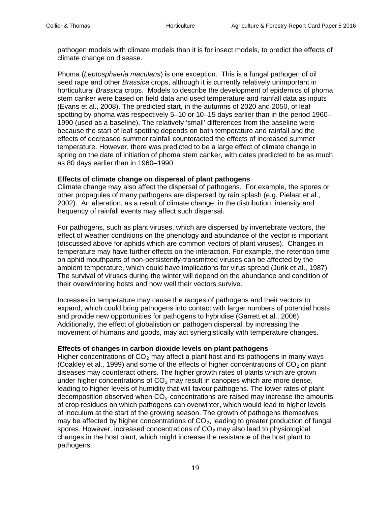pathogen models with climate models than it is for insect models, to predict the effects of climate change on disease.

Phoma (*Leptosphaeria maculans*) is one exception. This is a fungal pathogen of oil seed rape and other *Brassica* crops, although it is currently relatively unimportant in horticultural *Brassica* crops. Models to describe the development of epidemics of phoma stem canker were based on field data and used temperature and rainfall data as inputs (Evans et al., 2008). The predicted start, in the autumns of 2020 and 2050, of leaf spotting by phoma was respectively 5–10 or 10–15 days earlier than in the period 1960– 1990 (used as a baseline). The relatively 'small' differences from the baseline were because the start of leaf spotting depends on both temperature and rainfall and the effects of decreased summer rainfall counteracted the effects of increased summer temperature. However, there was predicted to be a large effect of climate change in spring on the date of initiation of phoma stem canker, with dates predicted to be as much as 80 days earlier than in 1960–1990.

#### **Effects of climate change on dispersal of plant pathogens**

Climate change may also affect the dispersal of pathogens. For example, the spores or other propagules of many pathogens are dispersed by rain splash (e.g*.* Pielaat et al., 2002). An alteration, as a result of climate change, in the distribution, intensity and frequency of rainfall events may affect such dispersal.

For pathogens, such as plant viruses, which are dispersed by invertebrate vectors, the effect of weather conditions on the phenology and abundance of the vector is important (discussed above for aphids which are common vectors of plant viruses). Changes in temperature may have further effects on the interaction. For example, the retention time on aphid mouthparts of non-persistently-transmitted viruses can be affected by the ambient temperature, which could have implications for virus spread (Jurik et al., 1987). The survival of viruses during the winter will depend on the abundance and condition of their overwintering hosts and how well their vectors survive.

Increases in temperature may cause the ranges of pathogens and their vectors to expand, which could bring pathogens into contact with larger numbers of potential hosts and provide new opportunities for pathogens to hybridise (Garrett et al., 2006). Additionally, the effect of globalistion on pathogen dispersal, by increasing the movement of humans and goods, may act synergistically with temperature changes.

#### **Effects of changes in carbon dioxide levels on plant pathogens**

Higher concentrations of  $CO<sub>2</sub>$  may affect a plant host and its pathogens in many ways (Coakley et al., 1999) and some of the effects of higher concentrations of  $CO<sub>2</sub>$  on plant diseases may counteract others. The higher growth rates of plants which are grown under higher concentrations of  $CO<sub>2</sub>$  may result in canopies which are more dense, leading to higher levels of humidity that will favour pathogens. The lower rates of plant decomposition observed when  $CO<sub>2</sub>$  concentrations are raised may increase the amounts of crop residues on which pathogens can overwinter, which would lead to higher levels of inoculum at the start of the growing season. The growth of pathogens themselves may be affected by higher concentrations of  $CO<sub>2</sub>$ , leading to greater production of fungal spores. However, increased concentrations of  $CO<sub>2</sub>$  may also lead to physiological changes in the host plant, which might increase the resistance of the host plant to pathogens.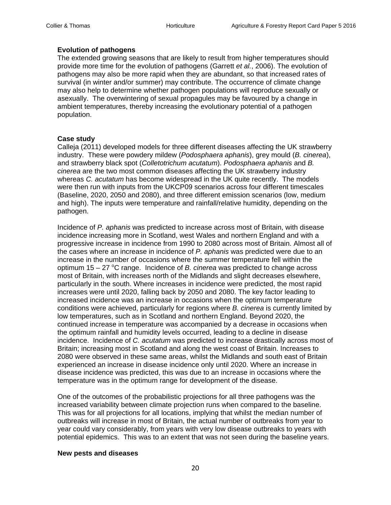# **Evolution of pathogens**

The extended growing seasons that are likely to result from higher temperatures should provide more time for the evolution of pathogens (Garrett *et al.*, 2006). The evolution of pathogens may also be more rapid when they are abundant, so that increased rates of survival (in winter and/or summer) may contribute. The occurrence of climate change may also help to determine whether pathogen populations will reproduce sexually or asexually. The overwintering of sexual propagules may be favoured by a change in ambient temperatures, thereby increasing the evolutionary potential of a pathogen population.

# **Case study**

Calleja (2011) developed models for three different diseases affecting the UK strawberry industry. These were powdery mildew (*Podosphaera aphanis*), grey mould (*B. cinerea*), and strawberry black spot (*Colletotrichum acutatum*). *Podosphaera aphanis* and *B. cinerea* are the two most common diseases affecting the UK strawberry industry whereas *C. acutatum* has become widespread in the UK quite recently. The models were then run with inputs from the UKCP09 scenarios across four different timescales (Baseline, 2020, 2050 and 2080), and three different emission scenarios (low, medium and high). The inputs were temperature and rainfall/relative humidity, depending on the pathogen.

Incidence of *P. aphanis* was predicted to increase across most of Britain, with disease incidence increasing more in Scotland, west Wales and northern England and with a progressive increase in incidence from 1990 to 2080 across most of Britain. Almost all of the cases where an increase in incidence of *P. aphanis* was predicted were due to an increase in the number of occasions where the summer temperature fell within the optimum 15 – 27 °C range. Incidence of *B. cinerea* was predicted to change across most of Britain, with increases north of the Midlands and slight decreases elsewhere, particularly in the south. Where increases in incidence were predicted, the most rapid increases were until 2020, falling back by 2050 and 2080. The key factor leading to increased incidence was an increase in occasions when the optimum temperature conditions were achieved, particularly for regions where *B. cinerea* is currently limited by low temperatures, such as in Scotland and northern England. Beyond 2020, the continued increase in temperature was accompanied by a decrease in occasions when the optimum rainfall and humidity levels occurred, leading to a decline in disease incidence. Incidence of *C. acutatum* was predicted to increase drastically across most of Britain; increasing most in Scotland and along the west coast of Britain. Increases to 2080 were observed in these same areas, whilst the Midlands and south east of Britain experienced an increase in disease incidence only until 2020. Where an increase in disease incidence was predicted, this was due to an increase in occasions where the temperature was in the optimum range for development of the disease.

One of the outcomes of the probabilistic projections for all three pathogens was the increased variability between climate projection runs when compared to the baseline. This was for all projections for all locations, implying that whilst the median number of outbreaks will increase in most of Britain, the actual number of outbreaks from year to year could vary considerably, from years with very low disease outbreaks to years with potential epidemics. This was to an extent that was not seen during the baseline years.

#### **New pests and diseases**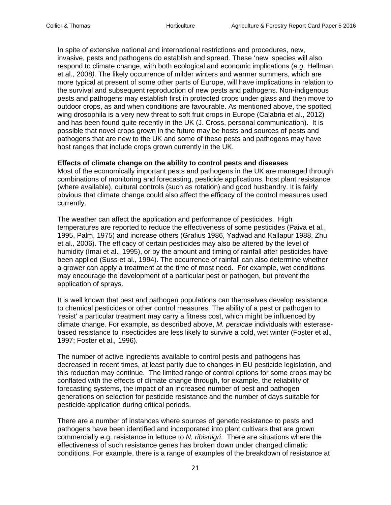In spite of extensive national and international restrictions and procedures, new, invasive, pests and pathogens do establish and spread. These 'new' species will also respond to climate change, with both ecological and economic implications (*e.g.* Hellman et al*.,* 2008*).* The likely occurrence of milder winters and warmer summers, which are more typical at present of some other parts of Europe, will have implications in relation to the survival and subsequent reproduction of new pests and pathogens. Non-indigenous pests and pathogens may establish first in protected crops under glass and then move to outdoor crops, as and when conditions are favourable. As mentioned above, the spotted wing drosophila is a very new threat to soft fruit crops in Europe (Calabria et al., 2012) and has been found quite recently in the UK (J. Cross, personal communication). It is possible that novel crops grown in the future may be hosts and sources of pests and pathogens that are new to the UK and some of these pests and pathogens may have host ranges that include crops grown currently in the UK.

#### **Effects of climate change on the ability to control pests and diseases**

Most of the economically important pests and pathogens in the UK are managed through combinations of monitoring and forecasting, pesticide applications, host plant resistance (where available), cultural controls (such as rotation) and good husbandry. It is fairly obvious that climate change could also affect the efficacy of the control measures used currently.

The weather can affect the application and performance of pesticides. High temperatures are reported to reduce the effectiveness of some pesticides (Paiva et al., 1995, Palm, 1975) and increase others (Grafius 1986, Yadwad and Kallapur 1988, Zhu et al*.,* 2006). The efficacy of certain pesticides may also be altered by the level of humidity (Imai et al.*,* 1995), or by the amount and timing of rainfall after pesticides have been applied (Suss et al.*,* 1994). The occurrence of rainfall can also determine whether a grower can apply a treatment at the time of most need. For example, wet conditions may encourage the development of a particular pest or pathogen, but prevent the application of sprays.

It is well known that pest and pathogen populations can themselves develop resistance to chemical pesticides or other control measures. The ability of a pest or pathogen to 'resist' a particular treatment may carry a fitness cost, which might be influenced by climate change. For example, as described above, *M. persicae* individuals with esterasebased resistance to insecticides are less likely to survive a cold, wet winter (Foster et al.*,* 1997; Foster et al.*,* 1996).

The number of active ingredients available to control pests and pathogens has decreased in recent times, at least partly due to changes in EU pesticide legislation, and this reduction may continue. The limited range of control options for some crops may be conflated with the effects of climate change through, for example, the reliability of forecasting systems, the impact of an increased number of pest and pathogen generations on selection for pesticide resistance and the number of days suitable for pesticide application during critical periods.

There are a number of instances where sources of genetic resistance to pests and pathogens have been identified and incorporated into plant cultivars that are grown commercially e.g. resistance in lettuce to *N. ribisnigri*. There are situations where the effectiveness of such resistance genes has broken down under changed climatic conditions. For example, there is a range of examples of the breakdown of resistance at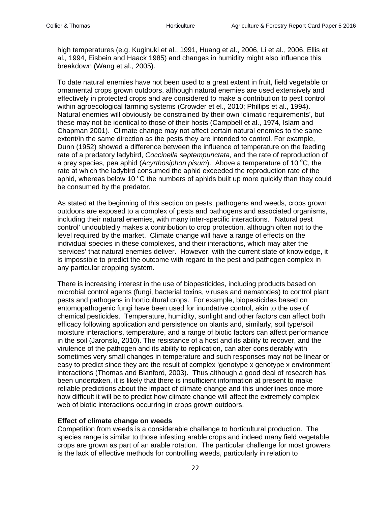high temperatures (e.g. Kuginuki et al., 1991, Huang et al., 2006, Li et al.*,* 2006, Ellis et al*.,* 1994, Eisbein and Haack 1985) and changes in humidity might also influence this breakdown (Wang et al.*,* 2005).

To date natural enemies have not been used to a great extent in fruit, field vegetable or ornamental crops grown outdoors, although natural enemies are used extensively and effectively in protected crops and are considered to make a contribution to pest control within agroecological farming systems (Crowder et el., 2010; Phillips et al., 1994). Natural enemies will obviously be constrained by their own 'climatic requirements', but these may not be identical to those of their hosts (Campbell et al., 1974, Islam and Chapman 2001). Climate change may not affect certain natural enemies to the same extent/in the same direction as the pests they are intended to control. For example, Dunn (1952) showed a difference between the influence of temperature on the feeding rate of a predatory ladybird, *Coccinella septempunctata,* and the rate of reproduction of a prey species, pea aphid (Acyrthosiphon pisum). Above a temperature of 10 °C, the rate at which the ladybird consumed the aphid exceeded the reproduction rate of the aphid, whereas below 10  $\mathrm{^{\circ}C}$  the numbers of aphids built up more quickly than they could be consumed by the predator.

As stated at the beginning of this section on pests, pathogens and weeds, crops grown outdoors are exposed to a complex of pests and pathogens and associated organisms, including their natural enemies, with many inter-specific interactions. 'Natural pest control' undoubtedly makes a contribution to crop protection, although often not to the level required by the market. Climate change will have a range of effects on the individual species in these complexes, and their interactions, which may alter the 'services' that natural enemies deliver. However, with the current state of knowledge, it is impossible to predict the outcome with regard to the pest and pathogen complex in any particular cropping system.

There is increasing interest in the use of biopesticides, including products based on microbial control agents (fungi, bacterial toxins, viruses and nematodes) to control plant pests and pathogens in horticultural crops. For example, biopesticides based on entomopathogenic fungi have been used for inundative control, akin to the use of chemical pesticides. Temperature, humidity, sunlight and other factors can affect both efficacy following application and persistence on plants and, similarly, soil type/soil moisture interactions, temperature, and a range of biotic factors can affect performance in the soil (Jaronski, 2010). The resistance of a host and its ability to recover, and the virulence of the pathogen and its ability to replication, can alter considerably with sometimes very small changes in temperature and such responses may not be linear or easy to predict since they are the result of complex 'genotype x genotype x environment' interactions (Thomas and Blanford, 2003). Thus although a good deal of research has been undertaken, it is likely that there is insufficient information at present to make reliable predictions about the impact of climate change and this underlines once more how difficult it will be to predict how climate change will affect the extremely complex web of biotic interactions occurring in crops grown outdoors.

#### **Effect of climate change on weeds**

Competition from weeds is a considerable challenge to horticultural production. The species range is similar to those infesting arable crops and indeed many field vegetable crops are grown as part of an arable rotation. The particular challenge for most growers is the lack of effective methods for controlling weeds, particularly in relation to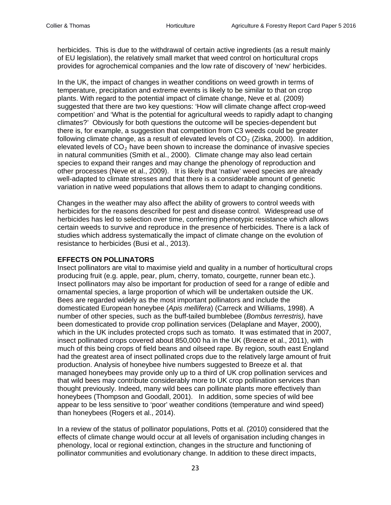herbicides. This is due to the withdrawal of certain active ingredients (as a result mainly of EU legislation), the relatively small market that weed control on horticultural crops provides for agrochemical companies and the low rate of discovery of 'new' herbicides.

In the UK, the impact of changes in weather conditions on weed growth in terms of temperature, precipitation and extreme events is likely to be similar to that on crop plants. With regard to the potential impact of climate change, Neve et al*.* (2009) suggested that there are two key questions: 'How will climate change affect crop-weed competition' and 'What is the potential for agricultural weeds to rapidly adapt to changing climates?' Obviously for both questions the outcome will be species-dependent but there is, for example, a suggestion that competition from C3 weeds could be greater following climate change, as a result of elevated levels of  $CO<sub>2</sub>$  (Ziska, 2000). In addition, elevated levels of  $CO<sub>2</sub>$  have been shown to increase the dominance of invasive species in natural communities (Smith et al., 2000). Climate change may also lead certain species to expand their ranges and may change the phenology of reproduction and other processes (Neve et al., 2009). It is likely that 'native' weed species are already well-adapted to climate stresses and that there is a considerable amount of genetic variation in native weed populations that allows them to adapt to changing conditions.

Changes in the weather may also affect the ability of growers to control weeds with herbicides for the reasons described for pest and disease control. Widespread use of herbicides has led to selection over time, conferring phenotypic resistance which allows certain weeds to survive and reproduce in the presence of herbicides. There is a lack of studies which address systematically the impact of climate change on the evolution of resistance to herbicides (Busi et al., 2013).

# **EFFECTS ON POLLINATORS**

Insect pollinators are vital to maximise yield and quality in a number of horticultural crops producing fruit (e.g. apple, pear, plum, cherry, tomato, courgette, runner bean etc.). Insect pollinators may also be important for production of seed for a range of edible and ornamental species, a large proportion of which will be undertaken outside the UK. Bees are regarded widely as the most important pollinators and include the domesticated European honeybee (*Apis mellifera*) (Carreck and Williams, 1998). A number of other species, such as the buff-tailed bumblebee (*Bombus terrestris),* have been domesticated to provide crop pollination services (Delaplane and Mayer, 2000), which in the UK includes protected crops such as tomato. It was estimated that in 2007, insect pollinated crops covered about 850,000 ha in the UK (Breeze et al., 2011), with much of this being crops of field beans and oilseed rape. By region, south east England had the greatest area of insect pollinated crops due to the relatively large amount of fruit production. Analysis of honeybee hive numbers suggested to Breeze et al. that managed honeybees may provide only up to a third of UK crop pollination services and that wild bees may contribute considerably more to UK crop pollination services than thought previously. Indeed, many wild bees can pollinate plants more effectively than honeybees (Thompson and Goodall, 2001). In addition, some species of wild bee appear to be less sensitive to 'poor' weather conditions (temperature and wind speed) than honeybees (Rogers et al., 2014).

In a review of the status of pollinator populations, Potts et al. (2010) considered that the effects of climate change would occur at all levels of organisation including changes in phenology, local or regional extinction, changes in the structure and functioning of pollinator communities and evolutionary change. In addition to these direct impacts,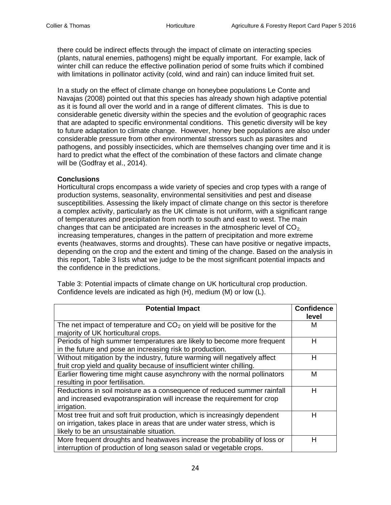there could be indirect effects through the impact of climate on interacting species (plants, natural enemies, pathogens) might be equally important. For example, lack of winter chill can reduce the effective pollination period of some fruits which if combined with limitations in pollinator activity (cold, wind and rain) can induce limited fruit set.

In a study on the effect of climate change on honeybee populations Le Conte and Navajas (2008) pointed out that this species has already shown high adaptive potential as it is found all over the world and in a range of different climates. This is due to considerable genetic diversity within the species and the evolution of geographic races that are adapted to specific environmental conditions. This genetic diversity will be key to future adaptation to climate change. However, honey bee populations are also under considerable pressure from other environmental stressors such as parasites and pathogens, and possibly insecticides, which are themselves changing over time and it is hard to predict what the effect of the combination of these factors and climate change will be (Godfray et al., 2014).

# **Conclusions**

Horticultural crops encompass a wide variety of species and crop types with a range of production systems, seasonality, environmental sensitivities and pest and disease susceptibilities. Assessing the likely impact of climate change on this sector is therefore a complex activity, particularly as the UK climate is not uniform, with a significant range of temperatures and precipitation from north to south and east to west. The main changes that can be anticipated are increases in the atmospheric level of  $CO<sub>2</sub>$ . increasing temperatures, changes in the pattern of precipitation and more extreme events (heatwaves, storms and droughts). These can have positive or negative impacts, depending on the crop and the extent and timing of the change. Based on the analysis in this report, Table 3 lists what we judge to be the most significant potential impacts and the confidence in the predictions.

Table 3: Potential impacts of climate change on UK horticultural crop production. Confidence levels are indicated as high (H), medium (M) or low (L).

| <b>Potential Impact</b>                                                    | <b>Confidence</b> |
|----------------------------------------------------------------------------|-------------------|
|                                                                            | level             |
| The net impact of temperature and $CO2$ on yield will be positive for the  | M                 |
| majority of UK horticultural crops.                                        |                   |
| Periods of high summer temperatures are likely to become more frequent     | н                 |
| in the future and pose an increasing risk to production.                   |                   |
| Without mitigation by the industry, future warming will negatively affect  | н                 |
| fruit crop yield and quality because of insufficient winter chilling.      |                   |
| Earlier flowering time might cause asynchrony with the normal pollinators  | м                 |
| resulting in poor fertilisation.                                           |                   |
| Reductions in soil moisture as a consequence of reduced summer rainfall    | н                 |
| and increased evapotranspiration will increase the requirement for crop    |                   |
| irrigation.                                                                |                   |
| Most tree fruit and soft fruit production, which is increasingly dependent | н                 |
| on irrigation, takes place in areas that are under water stress, which is  |                   |
| likely to be an unsustainable situation.                                   |                   |
| More frequent droughts and heatwaves increase the probability of loss or   | н                 |
| interruption of production of long season salad or vegetable crops.        |                   |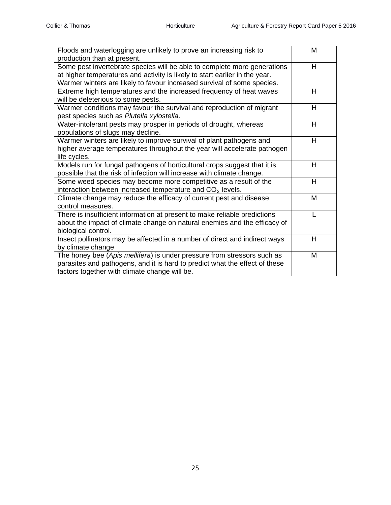| Floods and waterlogging are unlikely to prove an increasing risk to         | M |
|-----------------------------------------------------------------------------|---|
| production than at present.                                                 |   |
| Some pest invertebrate species will be able to complete more generations    | Н |
| at higher temperatures and activity is likely to start earlier in the year. |   |
| Warmer winters are likely to favour increased survival of some species.     |   |
| Extreme high temperatures and the increased frequency of heat waves         | H |
| will be deleterious to some pests.                                          |   |
| Warmer conditions may favour the survival and reproduction of migrant       | H |
| pest species such as Plutella xylostella.                                   |   |
| Water-intolerant pests may prosper in periods of drought, whereas           | H |
| populations of slugs may decline.                                           |   |
| Warmer winters are likely to improve survival of plant pathogens and        | H |
| higher average temperatures throughout the year will accelerate pathogen    |   |
| life cycles.                                                                |   |
| Models run for fungal pathogens of horticultural crops suggest that it is   | H |
| possible that the risk of infection will increase with climate change.      |   |
| Some weed species may become more competitive as a result of the            | н |
| interaction between increased temperature and CO <sub>2</sub> levels.       |   |
| Climate change may reduce the efficacy of current pest and disease          | M |
| control measures.                                                           |   |
| There is insufficient information at present to make reliable predictions   |   |
| about the impact of climate change on natural enemies and the efficacy of   |   |
| biological control.                                                         |   |
| Insect pollinators may be affected in a number of direct and indirect ways  | H |
| by climate change                                                           |   |
| The honey bee (Apis mellifera) is under pressure from stressors such as     | M |
| parasites and pathogens, and it is hard to predict what the effect of these |   |
| factors together with climate change will be.                               |   |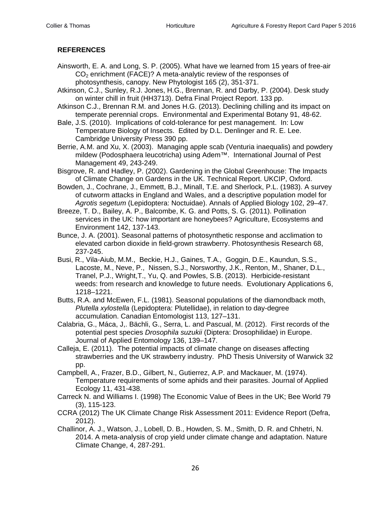# **REFERENCES**

- Ainsworth, E. A. and Long, S. P. (2005). What have we learned from 15 years of free-air  $CO<sub>2</sub>$  enrichment (FACE)? A meta-analytic review of the responses of photosynthesis, canopy. New Phytologist 165 (2), 351-371.
- Atkinson, C.J., Sunley, R.J. Jones, H.G., Brennan, R. and Darby, P. (2004). Desk study on winter chill in fruit (HH3713). Defra Final Project Report. 133 pp.
- Atkinson C.J., Brennan R.M. and Jones H.G. (2013). Declining chilling and its impact on temperate perennial crops. Environmental and Experimental Botany 91, 48-62.
- Bale, J.S. (2010). Implications of cold-tolerance for pest management. In: Low Temperature Biology of Insects. Edited by D.L. Denlinger and R. E. Lee. Cambridge University Press 390 pp.
- Berrie, A.M. and Xu, X. (2003). Managing apple scab (Venturia inaequalis) and powdery mildew (Podosphaera leucotricha) using Adem™. International Journal of Pest Management [49,](http://www.tandfonline.com/loi/ttpm20?open=49%23vol_49) 243-249.
- Bisgrove, R. and Hadley, P. (2002). Gardening in the Global Greenhouse: The Impacts of Climate Change on Gardens in the UK. Technical Report. UKCIP, Oxford.
- Bowden, J., Cochrane, J., Emmett, B.J., Minall, T.E. and Sherlock, P.L. (1983). A survey of cutworm attacks in England and Wales, and a descriptive population model for *Agrotis segetum* (Lepidoptera: Noctuidae). Annals of Applied Biology 102, 29–47.
- Breeze, T. D., Bailey, A. P., Balcombe, K. G. and Potts, S. G. (2011). Pollination services in the UK: how important are honeybees? Agriculture, Ecosystems and Environment 142, 137-143.
- Bunce, J. A. (2001). Seasonal patterns of photosynthetic response and acclimation to elevated carbon dioxide in field-grown strawberry. Photosynthesis Research 68, 237-245.
- Busi, R., Vila-Aiub, M.M., Beckie, H.J., Gaines, T.A., Goggin, D.E., Kaundun, S.S., Lacoste, M., Neve, P., Nissen, S.J., Norsworthy, J.K., Renton, M., Shaner, D.L., Tranel, P.J., Wright,T., Yu, Q. and Powles, S.B. (2013). Herbicide-resistant weeds: from research and knowledge to future needs. Evolutionary Applications 6, 1218–1221.
- Butts, R.A. and McEwen, F.L. (1981). Seasonal populations of the diamondback moth, *Plutella xylostella* (Lepidoptera: Plutellidae), in relation to day-degree accumulation. Canadian Entomologist 113, 127–131.
- Calabria, G., Máca, J,. Bächli, G., Serra, L. and Pascual, M. (2012). First records of the potential pest species *Drosophila suzukii* (Diptera: Drosophilidae) in Europe. Journal of Applied Entomology 136, 139–147.
- Calleja, E. (2011). The potential impacts of climate change on diseases affecting strawberries and the UK strawberry industry. PhD Thesis University of Warwick 32 pp.
- Campbell, A., Frazer, B.D., Gilbert, N., Gutierrez, A.P. and Mackauer, M. (1974). Temperature requirements of some aphids and their parasites. Journal of Applied Ecology 11, 431-438.
- Carreck N. and Williams I. (1998) The Economic Value of Bees in the UK; Bee World 79 (3), 115-123.
- CCRA (2012) The UK Climate Change Risk Assessment 2011: Evidence Report (Defra, 2012).
- Challinor, A. J., Watson, J., Lobell, D. B., Howden, S. M., Smith, D. R. and Chhetri, N. 2014. A meta-analysis of crop yield under climate change and adaptation. Nature Climate Change, 4, 287-291.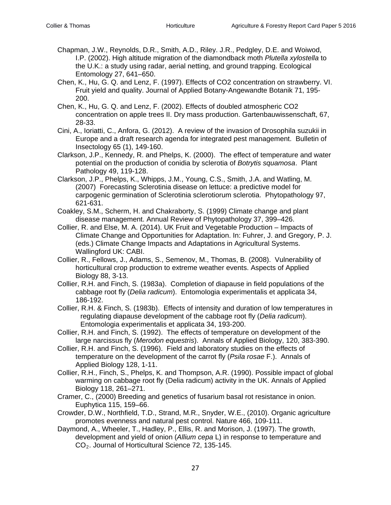- Chapman, J.W., Reynolds, D.R., Smith, A.D., Riley. J.R., Pedgley, D.E. and Woiwod, I.P. (2002). High altitude migration of the diamondback moth *Plutella xylostella* to the U.K.: a study using radar, aerial netting, and ground trapping. Ecological Entomology 27, 641–650.
- Chen, K., Hu, G. Q. and Lenz, F. (1997). Effects of CO2 concentration on strawberry. VI. Fruit yield and quality. Journal of Applied Botany-Angewandte Botanik 71, 195- 200.
- Chen, K., Hu, G. Q. and Lenz, F. (2002). Effects of doubled atmospheric CO2 concentration on apple trees II. Dry mass production. Gartenbauwissenschaft, 67, 28-33.
- Cini, A., Ioriatti, C., Anfora, G. (2012). A review of the invasion of Drosophila suzukii in Europe and a draft research agenda for integrated pest management. Bulletin of Insectology 65 (1), 149-160.
- Clarkson, J.P., Kennedy, R. and Phelps, K. (2000). The effect of temperature and water potential on the production of conidia by sclerotia of *Botrytis squamosa*. Plant Pathology 49, 119-128.
- Clarkson, J.P., Phelps, K., Whipps, J.M., Young, C.S., Smith, J.A. and Watling, M. (2007) Forecasting Sclerotinia disease on lettuce: a predictive model for carpogenic germination of Sclerotinia sclerotiorum sclerotia. Phytopathology 97, 621-631.
- Coakley, S.M., Scherm, H. and Chakraborty, S. (1999) Climate change and plant disease management. Annual Review of Phytopathology 37, 399–426.
- Collier, R. and Else, M. A. (2014). UK Fruit and Vegetable Production Impacts of Climate Change and Opportunities for Adaptation. In: Fuhrer, J. and Gregory, P. J. (eds.) Climate Change Impacts and Adaptations in Agricultural Systems. Wallingford UK: CABI.
- Collier, R., Fellows, J., Adams, S., Semenov, M., Thomas, B. (2008). Vulnerability of horticultural crop production to extreme weather events. Aspects of Applied Biology 88, 3-13.
- Collier, R.H. and Finch, S. (1983a). Completion of diapause in field populations of the cabbage root fly (*Delia radicum*). Entomologia experimentalis et applicata 34, 186-192.
- Collier, R.H. & Finch, S. (1983b). Effects of intensity and duration of low temperatures in regulating diapause development of the cabbage root fly (*Delia radicum*). Entomologia experimentalis et applicata 34, 193-200.
- Collier, R.H. and Finch, S. (1992). The effects of temperature on development of the large narcissus fly (*Merodon equestris*). Annals of Applied Biology, 120, 383-390.
- Collier, R.H. and Finch, S. (1996). Field and laboratory studies on the effects of temperature on the development of the carrot fly (*Psila rosae* F.). Annals of Applied Biology 128, 1-11.
- Collier, R.H., Finch, S., Phelps, K. and Thompson, A.R. (1990). Possible impact of global warming on cabbage root fly (Delia radicum) activity in the UK. Annals of Applied Biology 118, 261–271.
- Cramer, C., (2000) Breeding and genetics of fusarium basal rot resistance in onion. Euphytica 115, 159–66.
- Crowder, D.W., Northfield, T.D., Strand, M.R., Snyder, W.E., (2010). Organic agriculture promotes evenness and natural pest control. Nature 466, 109-111.
- Daymond, A., Wheeler, T., Hadley, P., Ellis, R. and Morison, J. (1997). The growth, development and yield of onion (*Allium cepa* L) in response to temperature and CO2. Journal of Horticultural Science 72, 135-145.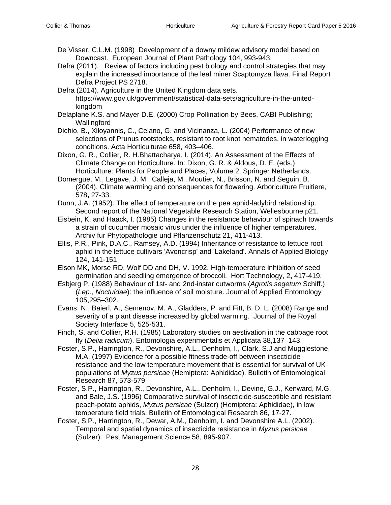- De Visser, C.L.M. (1998) Development of a downy mildew advisory model based on Downcast. European Journal of Plant Pathology 104, 993-943.
- Defra (2011). Review of factors including pest biology and control strategies that may explain the increased importance of the leaf miner Scaptomyza flava. Final Report Defra Project PS 2718.
- Defra (2014). Agriculture in the United Kingdom data sets. https://www.gov.uk/government/statistical-data-sets/agriculture-in-the-unitedkingdom
- Delaplane K.S. and Mayer D.E. (2000) Crop Pollination by Bees, CABI Publishing; Wallingford
- Dichio, B., Xiloyannis, C., Celano, G. and Vicinanza, L. (2004) Performance of new selections of Prunus rootstocks, resistant to root knot nematodes, in waterlogging conditions. Acta Horticulturae 658, 403–406.
- Dixon, G. R., Collier, R. H.Bhattacharya, I. (2014). An Assessment of the Effects of Climate Change on Horticulture. In: Dixon, G. R. & Aldous, D. E. (eds.) Horticulture: Plants for People and Places, Volume 2. Springer Netherlands.
- Domergue, M., Legave, J. M., Calleja, M., Moutier, N., Brisson, N. and Seguin, B. (2004). Climate warming and consequences for flowering. Arboriculture Fruitiere, 578**,** 27-33.
- Dunn, J.A. (1952). The effect of temperature on the pea aphid-ladybird relationship. Second report of the National Vegetable Research Station, Wellesbourne p21.
- Eisbein, K. and Haack, I. (1985) Changes in the resistance behaviour of spinach towards a strain of cucumber mosaic virus under the influence of higher temperatures. Archiv fur Phytopathologie und Pflanzenschutz 21, 411-413.
- Ellis, P.R., Pink, D.A.C., Ramsey, A.D. (1994) Inheritance of resistance to lettuce root aphid in the lettuce cultivars 'Avoncrisp' and 'Lakeland'. Annals of Applied Biology 124, 141-151
- Elson MK, Morse RD, Wolf DD and DH, V. 1992. High-temperature inhibition of seed germination and seedling emergence of broccoli. Hort Technology, 2**,** 417-419.
- Esbjerg P. (1988) Behaviour of 1st- and 2nd-instar cutworms (*Agrotis segetum* Schiff.) (*Lep., Noctuidae*): the influence of soil moisture. Journal of Applied Entomology 105,295–302.
- Evans, N., Baierl, A., Semenov, M. A., Gladders, P. and Fitt, B. D. L. (2008) Range and severity of a plant disease increased by global warming. Journal of the Royal Society Interface 5, 525-531.
- Finch, S. and Collier, R.H. (1985) Laboratory studies on aestivation in the cabbage root fly (*Delia radicum*). Entomologia experimentalis et Applicata 38,137–143.
- Foster, S.P., Harrington, R., Devonshire, A.L., Denholm, I., Clark, S.J and Mugglestone, M.A. (1997) Evidence for a possible fitness trade-off between insecticide resistance and the low temperature movement that is essential for survival of UK populations of *Myzus persicae* (Hemiptera: Aphididae). Bulletin of Entomological Research 87, 573-579
- Foster, S.P., Harrington, R., Devonshire, A.L., Denholm, I., Devine, G.J., Kenward, M.G. and Bale, J.S. (1996) Comparative survival of insecticide-susceptible and resistant peach-potato aphids, *Myzus persicae* (Sulzer) (Hemiptera: Aphididae), in low temperature field trials. Bulletin of Entomological Research 86, 17-27.
- Foster, S.P., Harrington, R., Dewar, A.M., Denholm, I. and Devonshire A.L. (2002). Temporal and spatial dynamics of insecticide resistance in *Myzus persicae* (Sulzer). Pest Management Science 58, 895-907.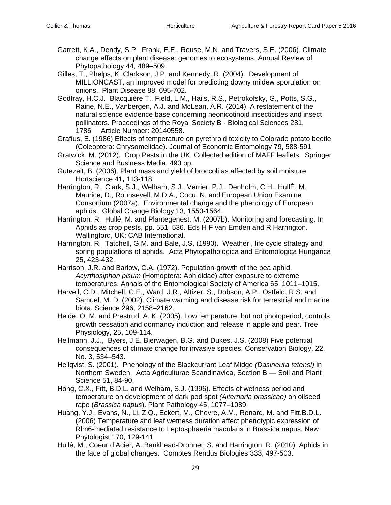- Garrett, K.A., Dendy, S.P., Frank, E.E., Rouse, M.N. and Travers, S.E. (2006). Climate change effects on plant disease: genomes to ecosystems. Annual Review of Phytopathology 44, 489–509.
- Gilles, T., Phelps, K. Clarkson, J.P. and Kennedy, R. (2004). Development of MILLIONCAST, an improved model for predicting downy mildew sporulation on onions. Plant Disease 88, 695-702.
- Godfray, H.C.J., Blacquière T., Field, L.M., Hails, R.S., Petrokofsky, G., Potts, S.G., Raine, N.E., Vanbergen, A.J. and McLean, A.R. (2014). A restatement of the natural science evidence base concerning neonicotinoid insecticides and insect pollinators. Proceedings of the Royal Society B - Biological Sciences 281, 1786 Article Number: 20140558.

Grafius, E. (1986) Effects of temperature on pyrethroid toxicity to Colorado potato beetle (Coleoptera: Chrysomelidae). Journal of Economic Entomology 79, 588-591

- Gratwick, M. (2012). Crop Pests in the UK: Collected edition of MAFF leaflets.Springer Science and Business Media, 490 pp.
- Gutezeit, B. (2006). Plant mass and yield of broccoli as affected by soil moisture. Hortscience 41**,** 113-118.
- Harrington, R., Clark, S.J., Welham, S J., Verrier, P.J., Denholm, C.H., HullÉ, M. Maurice, D., Rounsevell, M.D.A., Cocu, N. and European Union Examine Consortium (2007a). Environmental change and the phenology of European aphids. Global Change Biology 13, 1550-1564.
- Harrington, R., Hullé, M. and Plantegenest, M. (2007b). Monitoring and forecasting. In Aphids as crop pests, pp. 551–536. Eds H F van Emden and R Harrington. Wallingford, UK: CAB International.
- Harrington, R., Tatchell, G.M. and Bale, J.S. (1990). Weather , life cycle strategy and spring populations of aphids. Acta Phytopathologica and Entomologica Hungarica 25, 423-432.
- Harrison, J.R. and Barlow, C.A. (1972). Population-growth of the pea aphid, *Acyrthosiphon pisum* (Homoptera: Aphididae) after exposure to extreme temperatures. Annals of the Entomological Society of America 65, 1011–1015.
- Harvell, C.D., Mitchell, C.E., Ward, J.R., Altizer, S., Dobson, A.P., Ostfeld, R.S. and Samuel, M. D. (2002). Climate warming and disease risk for terrestrial and marine biota. Science 296, 2158–2162.
- Heide, O. M. and Prestrud, A. K. (2005). Low temperature, but not photoperiod, controls growth cessation and dormancy induction and release in apple and pear. Tree Physiology, 25**,** 109-114.
- Hellmann, J.J., Byers, J.E. Bierwagen, B.G. and Dukes. J.S. (2008) Five potential consequences of climate change for invasive species. Conservation Biology, 22, No. 3, 534–543.
- Hellqvist, S. (2001). Phenology of the Blackcurrant Leaf Midge *(Dasineura tetensi)* in Northern Sweden. Acta Agriculturae Scandinavica, Section B — Soil and Plant Science 51, 84-90.
- Hong, C.X., Fitt, B.D.L. and Welham, S.J. (1996). Effects of wetness period and temperature on development of dark pod spot *(Alternaria brassicae)* on oilseed rape (*Brassica napus*). Plant Pathology 45, 1077–1089.
- Huang, Y.J., Evans, N., Li, Z.Q., Eckert, M., Chevre, A.M., Renard, M. and Fitt,B.D.L. (2006) Temperature and leaf wetness duration affect phenotypic expression of Rlm6-mediated resistance to Leptosphaeria maculans in Brassica napus. New Phytologist 170, 129-141
- Hullé, M., Coeur d'Acier, A. Bankhead-Dronnet, S. and Harrington, R. (2010) Aphids in the face of global changes. Comptes Rendus Biologies 333, 497-503.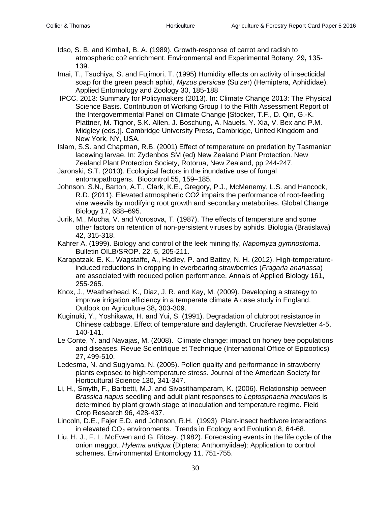- Idso, S. B. and Kimball, B. A. (1989). Growth-response of carrot and radish to atmospheric co2 enrichment. Environmental and Experimental Botany, 29**,** 135- 139.
- Imai, T., Tsuchiya, S. and Fujimori, T. (1995) Humidity effects on activity of insecticidal soap for the green peach aphid, *Myzus persicae* (Sulzer) (Hemiptera, Aphididae). Applied Entomology and Zoology 30, 185-188
- IPCC, 2013: Summary for Policymakers (2013). In: Climate Change 2013: The Physical Science Basis. Contribution of Working Group I to the Fifth Assessment Report of the Intergovernmental Panel on Climate Change [Stocker, T.F., D. Qin, G.-K. Plattner, M. Tignor, S.K. Allen, J. Boschung, A. Nauels, Y. Xia, V. Bex and P.M. Midgley (eds.)]. Cambridge University Press, Cambridge, United Kingdom and New York, NY, USA.
- Islam, S.S. and Chapman, R.B. (2001) Effect of temperature on predation by Tasmanian lacewing larvae. In: Zydenbos SM (ed) New Zealand Plant Protection. New Zealand Plant Protection Society, Rotorua, New Zealand, pp 244-247.
- Jaronski, S.T. (2010). Ecological factors in the inundative use of fungal entomopathogens. Biocontrol 55, 159–185.
- Johnson, S.N., Barton, A.T., Clark, K.E., Gregory, P.J., McMenemy, L.S. and Hancock, R.D. (2011). Elevated atmospheric CO2 impairs the performance of root-feeding vine weevils by modifying root growth and secondary metabolites. Global Change Biology 17, 688–695.
- Jurik, M., Mucha, V. and Vorosova, T. (1987). The effects of temperature and some other factors on retention of non-persistent viruses by aphids. Biologia (Bratislava) 42, 315-318.
- Kahrer A. (1999). Biology and control of the leek mining fly, *Napomyza gymnostoma*. Bulletin OILB/SROP. 22, 5, 205-211.
- Karapatzak, E. K., Wagstaffe, A., Hadley, P. and Battey, N. H. (2012). High-temperatureinduced reductions in cropping in everbearing strawberries (*Fragaria ananassa*) are associated with reduced pollen performance. Annals of Applied Biology 161**,** 255-265.
- Knox, J., Weatherhead, K., Diaz, J. R. and Kay, M. (2009). Developing a strategy to improve irrigation efficiency in a temperate climate A case study in England. Outlook on Agriculture 38**,** 303-309.
- Kuginuki, Y., Yoshikawa, H. and Yui, S. (1991). Degradation of clubroot resistance in Chinese cabbage. Effect of temperature and daylength. Cruciferae Newsletter 4-5, 140-141.
- Le Conte, Y. and Navajas, M. (2008). Climate change: impact on honey bee populations and diseases. Revue Scientifique et Technique (International Office of Epizootics) 27, 499-510.
- Ledesma, N. and Sugiyama, N. (2005). Pollen quality and performance in strawberry plants exposed to high-temperature stress. Journal of the American Society for Horticultural Science 130**,** 341-347.
- Li, H., Smyth, F., Barbetti, M.J. and Sivasithamparam, K. (2006). Relationship between *Brassica napus* seedling and adult plant responses to *Leptosphaeria maculans* is determined by plant growth stage at inoculation and temperature regime. Field Crop Research 96, 428-437.
- Lincoln, D.E., Fajer E.D. and Johnson, R.H. (1993) Plant-insect herbivore interactions in elevated  $CO<sub>2</sub>$  environments. Trends in Ecology and Evolution 8, 64-68.
- Liu, H. J., F. L. McEwen and G. Ritcey. (1982). Forecasting events in the life cycle of the onion maggot, *Hylema antiqua* (Diptera: Anthomyiidae): Application to control schemes. Environmental Entomology 11, 751-755.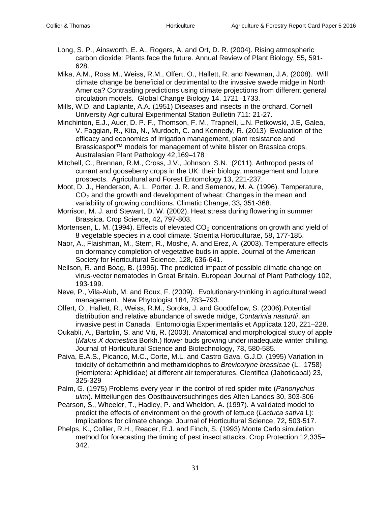- Long, S. P., Ainsworth, E. A., Rogers, A. and Ort, D. R. (2004). Rising atmospheric carbon dioxide: Plants face the future. Annual Review of Plant Biology, 55**,** 591- 628.
- Mika, A.M., Ross M., Weiss, R.M., Olfert, O., Hallett, R. and Newman, J.A. (2008). Will climate change be beneficial or detrimental to the invasive swede midge in North America? Contrasting predictions using climate projections from different general circulation models. Global Change Biology 14, 1721–1733.
- Mills, W.D. and Laplante, A.A. (1951) Diseases and insects in the orchard. Cornell University Agricultural Experimental Station Bulletin 711: 21-27.
- Minchinton, E.J., Auer, D. P. F., Thomson, F. M., Trapnell, L.N. Petkowski, J.E, Galea, V. Faggian, R., Kita, N., Murdoch, C. and Kennedy, R. (2013) Evaluation of the efficacy and economics of irrigation management, plant resistance and Brassicaspot™ models for management of white blister on Brassica crops. Australasian Plant Pathology 42,169–178
- [Mitchell, C.](https://apps.webofknowledge.com/OneClickSearch.do?product=WOS&search_mode=OneClickSearch&excludeEventConfig=ExcludeIfFromFullRecPage&colName=WOS&SID=X1pH48tsjXqNWZImYbK&field=AU&value=Mitchell,%20C), [Brennan, R.M.](https://apps.webofknowledge.com/DaisyOneClickSearch.do?product=WOS&search_mode=DaisyOneClickSearch&colName=WOS&SID=X1pH48tsjXqNWZImYbK&author_name=Brennan,%20RM&dais_id=3979907&excludeEventConfig=ExcludeIfFromFullRecPage), [Cross, J.V.](https://apps.webofknowledge.com/DaisyOneClickSearch.do?product=WOS&search_mode=DaisyOneClickSearch&colName=WOS&SID=X1pH48tsjXqNWZImYbK&author_name=Cross,%20JV&dais_id=1633010&excludeEventConfig=ExcludeIfFromFullRecPage), [Johnson, S.N.](https://apps.webofknowledge.com/DaisyOneClickSearch.do?product=WOS&search_mode=DaisyOneClickSearch&colName=WOS&SID=X1pH48tsjXqNWZImYbK&author_name=Johnson,%20SN&dais_id=16185261&excludeEventConfig=ExcludeIfFromFullRecPage) (2011). Arthropod pests of currant and gooseberry crops in the UK: their biology, management and future prospects. Agricultural and Forest Entomology 13, 221-237.
- Moot, D. J., Henderson, A. L., Porter, J. R. and Semenov, M. A. (1996). Temperature,  $CO<sub>2</sub>$  and the growth and development of wheat: Changes in the mean and variability of growing conditions. Climatic Change, 33**,** 351-368.
- Morrison, M. J. and Stewart, D. W. (2002). Heat stress during flowering in summer Brassica. Crop Science, 42**,** 797-803.
- Mortensen, L. M. (1994). Effects of elevated  $CO<sub>2</sub>$  concentrations on growth and yield of 8 vegetable species in a cool climate. Scientia Horticulturae, 58**,** 177-185.
- Naor, A., Flaishman, M., Stern, R., Moshe, A. and Erez, A. (2003). Temperature effects on dormancy completion of vegetative buds in apple. Journal of the American Society for Horticultural Science, 128**,** 636-641.
- [Neilson,](http://0-link.springer.com.pugwash.lib.warwick.ac.uk/search?facet-creator=%22R.+Neilson%22) R. and Boag, B. (1996). The predicted impact of possible climatic change on virus-vector nematodes in Great Britain. [European Journal of Plant Pathology](http://0-link.springer.com.pugwash.lib.warwick.ac.uk/journal/10658) 102, 193-199.
- Neve, P., Vila-Aiub, M. and Roux, F. (2009). Evolutionary-thinking in agricultural weed management. New Phytologist 184, 783–793.
- Olfert, O., Hallett, R., Weiss, R.M., Soroka, J. and Goodfellow, S. (2006).Potential distribution and relative abundance of swede midge, *Contarinia nasturtii*, an invasive pest in Canada. Entomologia Experimentalis et Applicata 120, 221–228.
- Oukabli, A., Bartolin, S. and Viti, R. (2003). Anatomical and morphological study of apple (*Malus X domestica* Borkh.) flower buds growing under inadequate winter chilling. Journal of Horticultural Science and Biotechnology, 78**,** 580-585.
- Paiva, E.A.S., Picanco, M.C., Corte, M.L. and Castro Gava, G.J.D. (1995) Variation in toxicity of deltamethrin and methamidophos to *Brevicoryne brassicae* (L., 1758) (Hemiptera: Aphididae) at different air temperatures. Cientifica (Jaboticabal) 23, 325-329
- Palm, G. (1975) Problems every year in the control of red spider mite (*Panonychus ulmi*). Mitteilungen des Obstbauversuchringes des Alten Landes 30, 303-306
- Pearson, S., Wheeler, T., Hadley, P. and Wheldon, A. (1997). A validated model to predict the effects of environment on the growth of lettuce (*Lactuca sativa* L): Implications for climate change. Journal of Horticultural Science, 72**,** 503-517.
- Phelps, K., Collier, R.H., Reader, R.J. and Finch, S. (1993) Monte Carlo simulation method for forecasting the timing of pest insect attacks. Crop Protection 12,335– 342.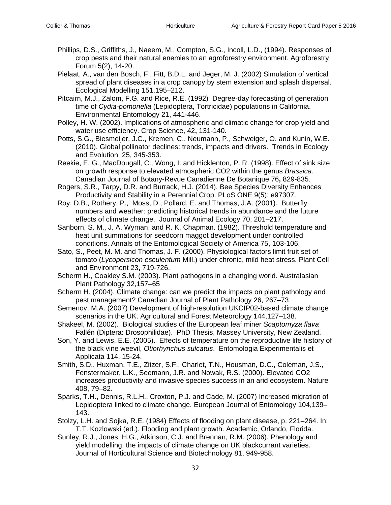- Phillips, D.S., Griffiths, J., Naeem, M., Compton, S.G., Incoll, L.D., (1994). Responses of crop pests and their natural enemies to an agroforestry environment. Agroforestry Forum 5(2), 14-20.
- Pielaat, A., van den Bosch, F., Fitt, B.D.L. and Jeger, M. J. (2002) Simulation of vertical spread of plant diseases in a crop canopy by stem extension and splash dispersal. Ecological Modelling 151,195–212.
- Pitcairn, M.J., Zalom, F.G. and Rice, R.E. (1992) Degree-day forecasting of generation time of *Cydia-pomonella* (Lepidoptera, Tortricidae) populations in California. Environmental Entomology 21, 441-446.
- Polley, H. W. (2002). Implications of atmospheric and climatic change for crop yield and water use efficiency. Crop Science, 42**,** 131-140.
- Potts, S.G., Biesmeijer, J.C., Kremen, C., Neumann, P., Schweiger, O. and Kunin, W.E. (2010). Global pollinator declines: trends, impacts and drivers. Trends in Ecology and Evolution 25, 345-353.
- Reekie, E. G., MacDougall, C., Wong, I. and Hicklenton, P. R. (1998). Effect of sink size on growth response to elevated atmospheric CO2 within the genus *Brassica*. Canadian Journal of Botany-Revue Canadienne De Botanique 76**,** 829-835.
- Rogers, S.R., Tarpy, D.R. and Burrack, H.J. (2014). Bee Species Diversity Enhances Productivity and Stability in a Perennial Crop. PLoS ONE 9(5): e97307.
- Roy, D.B., Rothery, P., Moss, D., Pollard, E. and Thomas, J.A. (2001). Butterfly numbers and weather: predicting historical trends in abundance and the future effects of climate change. Journal of Animal Ecology 70, 201–217.
- Sanborn, S. M., J. A. Wyman, and R. K. Chapman. (1982). Threshold temperature and heat unit summations for seedcorn maggot development under controlled conditions. Annals of the Entomological Society of America 75, 103-106.
- Sato, S., Peet, M. M. and Thomas, J. F. (2000). Physiological factors limit fruit set of tomato (*Lycopersicon esculentum* Mill.) under chronic, mild heat stress. Plant Cell and Environment 23**,** 719-726.
- Scherm H., Coakley S.M. (2003). Plant pathogens in a changing world. Australasian Plant Pathology 32,157–65
- Scherm H. (2004). Climate change: can we predict the impacts on plant pathology and pest management? Canadian Journal of Plant Pathology 26, 267–73
- Semenov, M.A. (2007) Development of high-resolution UKCIP02-based climate change scenarios in the UK. Agricultural and Forest Meteorology 144,127–138.
- Shakeel, M. (2002). Biological studies of the European leaf miner *Scaptomyza flava* Fallén (Diptera: Drosophilidae). PhD Thesis, Massey University, New Zealand.
- [Son, Y.](https://apps.webofknowledge.com/DaisyOneClickSearch.do?product=WOS&search_mode=DaisyOneClickSearch&colName=WOS&SID=Q2xA2kf4jOBxUxx1iTd&author_name=Son,%20Y&dais_id=8950324&excludeEventConfig=ExcludeIfFromFullRecPage) and [Lewis, E.E.](https://apps.webofknowledge.com/DaisyOneClickSearch.do?product=WOS&search_mode=DaisyOneClickSearch&colName=WOS&SID=Q2xA2kf4jOBxUxx1iTd&author_name=Lewis,%20EE&dais_id=1020752&excludeEventConfig=ExcludeIfFromFullRecPage) (2005). Effects of temperature on the reproductive life history of the black vine weevil, *Otiorhynchus sulcatus*. Entomologia Experimentalis et Applicata 114, 15-24.
- Smith, S.D., Huxman, T.E., Zitzer, S.F., Charlet, T.N., Housman, D.C., Coleman, J.S., Fenstermaker, L.K., Seemann, J.R. and Nowak, R.S. (2000). Elevated CO2 increases productivity and invasive species success in an arid ecosystem. Nature 408, 79–82.
- Sparks, T.H., Dennis, R.L.H., Croxton, P.J. and Cade, M. (2007) Increased migration of Lepidoptera linked to climate change. European Journal of Entomology 104,139– 143.
- Stolzy, L.H. and Sojka, R.E. (1984) Effects of flooding on plant disease, p. 221–264. In: T.T. Kozlowski (ed.). Flooding and plant growth. Academic, Orlando, Florida.
- Sunley, R.J., Jones, H.G., Atkinson, C.J. and Brennan, R.M. (2006). Phenology and yield modelling: the impacts of climate change on UK blackcurrant varieties. Journal of Horticultural Science and Biotechnology 81, 949-958.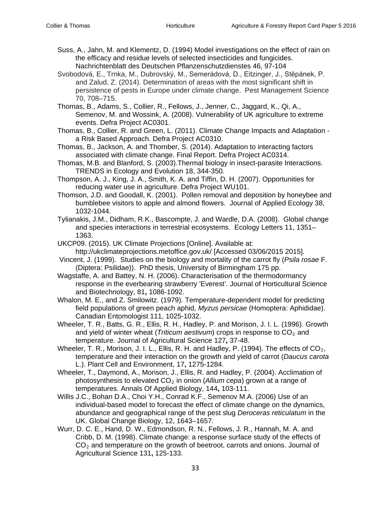- Suss, A., Jahn, M. and Klementz, D. (1994) Model investigations on the effect of rain on the efficacy and residue levels of selected insecticides and fungicides. Nachrichtenblatt des Deutschen Pflanzenschutzdienstes 46, 97-104
- Svobodová, E., Trnka, M., Dubrovský, M., Semerádová, D., Eitzinger, J., Stĕpánek, P. and Zalud, Z. (2014). Determination of areas with the most significant shift in persistence of pests in Europe under climate change. Pest Management Science 70, 708–715.
- Thomas, B., Adams, S., Collier, R., Fellows, J., Jenner, C., Jaggard, K., Qi, A., Semenov, M. and Wossink, A. (2008). Vulnerability of UK agriculture to extreme events. Defra Project AC0301.
- Thomas, B., Collier, R. and Green, L. (2011). Climate Change Impacts and Adaptation a Risk Based Approach. Defra Project AC0310.
- Thomas, B., Jackson, A. and Thornber, S. (2014). Adaptation to interacting factors associated with climate change. Final Report. Defra Project AC0314.
- Thomas, M.B. and Blanford, S. (2003).Thermal biology in insect-parasite Interactions. TRENDS in Ecology and Evolution 18, 344-350.
- Thompson, A. J., King, J. A., Smith, K. A. and Tiffin, D. H. (2007). Opportunities for reducing water use in agriculture. Defra Project WU101.
- Thomson, J.D. and Goodall, K. (2001). Pollen removal and deposition by honeybee and bumblebee visitors to apple and almond flowers. Journal of Applied Ecology 38, 1032-1044.
- Tylianakis, J.M., Didham, R.K., Bascompte, J. and Wardle, D.A. (2008). Global change and species interactions in terrestrial ecosystems. Ecology Letters 11, 1351– 1363.
- UKCP09. (2015). UK Climate Projections [Online]. Available at: http://ukclimateprojections.metoffice.gov.uk/ [Accessed 03/06/2015 2015].
- Vincent, J. (1999). Studies on the biology and mortality of the carrot fly (*Psila rosae* F. (Diptera: Psilidae)). PhD thesis, University of Birmingham 175 pp.
- Wagstaffe, A. and Battey, N. H. (2006). Characterisation of the thermodormancy response in the everbearing strawberry 'Everest'. Journal of Horticultural Science and Biotechnology, 81**,** 1086-1092.
- Whalon, M. E., and Z. Smilowitz. (1979). Temperature-dependent model for predicting field populations of green peach aphid, *Myzus persicae* (Homoptera: Aphididae). Canadian Entomologist 111, 1025-1032.
- Wheeler, T. R., Batts, G. R., Ellis, R. H., Hadley, P. and Morison, J. I. L. (1996). Growth and yield of winter wheat (*Triticum aestivum*) crops in response to  $CO<sub>2</sub>$  and temperature. Journal of Agricultural Science 127**,** 37-48.
- Wheeler, T. R., Morison, J. I. L., Ellis, R. H. and Hadley, P. (1994). The effects of  $CO<sub>2</sub>$ . temperature and their interaction on the growth and yield of carrot (*Daucus carota* L.). Plant Cell and Environment, 17**,** 1275-1284.
- Wheeler, T., Daymond, A., Morison, J., Ellis, R. and Hadley, P. (2004). Acclimation of photosynthesis to elevated CO2 in onion (*Allium cepa*) grown at a range of temperatures. Annals Of Applied Biology, 144**,** 103-111.
- Willis J.C., Bohan D.A., Choi Y.H., Conrad K.F., Semenov M.A. (2006) Use of an individual-based model to forecast the effect of climate change on the dynamics, abundance and geographical range of the pest slug *Deroceras reticulatum* in the UK. Global Change Biology, 12, 1643–1657.
- Wurr, D. C. E., Hand, D. W., Edmondson, R. N., Fellows, J. R., Hannah, M. A. and Cribb, D. M. (1998). Climate change: a response surface study of the effects of  $CO<sub>2</sub>$  and temperature on the growth of beetroot, carrots and onions. Journal of Agricultural Science 131**,** 125-133.